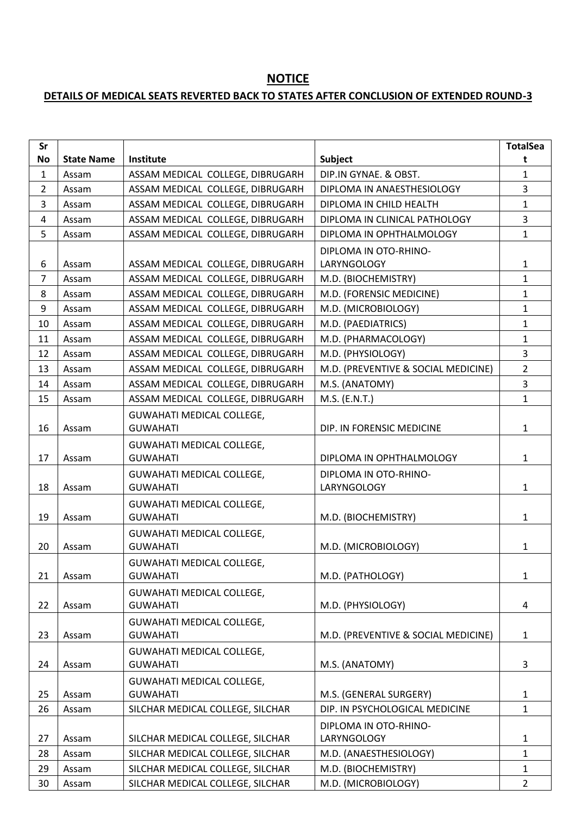## **NOTICE**

## **DETAILS OF MEDICAL SEATS REVERTED BACK TO STATES AFTER CONCLUSION OF EXTENDED ROUND-3**

| Sr             |                   |                                  |                                     | <b>TotalSea</b> |
|----------------|-------------------|----------------------------------|-------------------------------------|-----------------|
| <b>No</b>      | <b>State Name</b> | Institute                        | Subject                             | t               |
| $\mathbf{1}$   | Assam             | ASSAM MEDICAL COLLEGE, DIBRUGARH | DIP.IN GYNAE. & OBST.               | $\mathbf{1}$    |
| $\overline{2}$ | Assam             | ASSAM MEDICAL COLLEGE, DIBRUGARH | DIPLOMA IN ANAESTHESIOLOGY          | $\overline{3}$  |
| 3              | Assam             | ASSAM MEDICAL COLLEGE, DIBRUGARH | DIPLOMA IN CHILD HEALTH             | $\mathbf{1}$    |
| $\overline{a}$ | Assam             | ASSAM MEDICAL COLLEGE, DIBRUGARH | DIPLOMA IN CLINICAL PATHOLOGY       | $\overline{3}$  |
| 5              | Assam             | ASSAM MEDICAL COLLEGE, DIBRUGARH | DIPLOMA IN OPHTHALMOLOGY            | $\mathbf{1}$    |
|                |                   |                                  | DIPLOMA IN OTO-RHINO-               |                 |
| 6              | Assam             | ASSAM MEDICAL COLLEGE, DIBRUGARH | LARYNGOLOGY                         | $\mathbf{1}$    |
| $\overline{7}$ | Assam             | ASSAM MEDICAL COLLEGE, DIBRUGARH | M.D. (BIOCHEMISTRY)                 | $\mathbf{1}$    |
| 8              | Assam             | ASSAM MEDICAL COLLEGE, DIBRUGARH | M.D. (FORENSIC MEDICINE)            | $\mathbf{1}$    |
| 9              | Assam             | ASSAM MEDICAL COLLEGE, DIBRUGARH | M.D. (MICROBIOLOGY)                 | $\mathbf{1}$    |
| 10             | Assam             | ASSAM MEDICAL COLLEGE, DIBRUGARH | M.D. (PAEDIATRICS)                  | $\mathbf{1}$    |
| 11             | Assam             | ASSAM MEDICAL COLLEGE, DIBRUGARH | M.D. (PHARMACOLOGY)                 | $\mathbf{1}$    |
| 12             | Assam             | ASSAM MEDICAL COLLEGE, DIBRUGARH | M.D. (PHYSIOLOGY)                   | $\overline{3}$  |
| 13             | Assam             | ASSAM MEDICAL COLLEGE, DIBRUGARH | M.D. (PREVENTIVE & SOCIAL MEDICINE) | $\overline{2}$  |
| 14             | Assam             | ASSAM MEDICAL COLLEGE, DIBRUGARH | M.S. (ANATOMY)                      | $\overline{3}$  |
| 15             | Assam             | ASSAM MEDICAL COLLEGE, DIBRUGARH | M.S. (E.N.T.)                       | $\mathbf{1}$    |
|                |                   | <b>GUWAHATI MEDICAL COLLEGE,</b> |                                     |                 |
| 16             | Assam             | <b>GUWAHATI</b>                  | DIP. IN FORENSIC MEDICINE           | $\mathbf{1}$    |
|                |                   | <b>GUWAHATI MEDICAL COLLEGE,</b> |                                     |                 |
| 17             | Assam             | <b>GUWAHATI</b>                  | DIPLOMA IN OPHTHALMOLOGY            | $\mathbf{1}$    |
|                |                   | <b>GUWAHATI MEDICAL COLLEGE,</b> | DIPLOMA IN OTO-RHINO-               |                 |
| 18             | Assam             | <b>GUWAHATI</b>                  | LARYNGOLOGY                         | $\mathbf{1}$    |
|                |                   | <b>GUWAHATI MEDICAL COLLEGE,</b> |                                     |                 |
| 19             | Assam             | <b>GUWAHATI</b>                  | M.D. (BIOCHEMISTRY)                 | $\mathbf{1}$    |
|                |                   | <b>GUWAHATI MEDICAL COLLEGE,</b> |                                     |                 |
| 20             | Assam             | <b>GUWAHATI</b>                  | M.D. (MICROBIOLOGY)                 | $\mathbf{1}$    |
|                |                   | GUWAHATI MEDICAL COLLEGE,        |                                     |                 |
| 21             | Assam             | <b>GUWAHATI</b>                  | M.D. (PATHOLOGY)                    | $\mathbf{1}$    |
|                |                   | <b>GUWAHATI MEDICAL COLLEGE,</b> |                                     |                 |
| 22             | Assam             | <b>GUWAHATI</b>                  | M.D. (PHYSIOLOGY)                   | 4               |
|                |                   | <b>GUWAHATI MEDICAL COLLEGE,</b> |                                     |                 |
| 23             | Assam             | <b>GUWAHATI</b>                  | M.D. (PREVENTIVE & SOCIAL MEDICINE) | $\mathbf{1}$    |
|                |                   | <b>GUWAHATI MEDICAL COLLEGE,</b> |                                     |                 |
| 24             | Assam             | <b>GUWAHATI</b>                  | M.S. (ANATOMY)                      | 3               |
|                |                   | <b>GUWAHATI MEDICAL COLLEGE,</b> |                                     |                 |
| 25             | Assam             | <b>GUWAHATI</b>                  | M.S. (GENERAL SURGERY)              | $\mathbf{1}$    |
| 26             | Assam             | SILCHAR MEDICAL COLLEGE, SILCHAR | DIP. IN PSYCHOLOGICAL MEDICINE      | $\mathbf{1}$    |
|                |                   |                                  | DIPLOMA IN OTO-RHINO-               |                 |
| 27             | Assam             | SILCHAR MEDICAL COLLEGE, SILCHAR | LARYNGOLOGY                         | $\mathbf{1}$    |
| 28             | Assam             | SILCHAR MEDICAL COLLEGE, SILCHAR | M.D. (ANAESTHESIOLOGY)              | $\mathbf{1}$    |
| 29             | Assam             | SILCHAR MEDICAL COLLEGE, SILCHAR | M.D. (BIOCHEMISTRY)                 | $\mathbf{1}$    |
| 30             | Assam             | SILCHAR MEDICAL COLLEGE, SILCHAR | M.D. (MICROBIOLOGY)                 | $\overline{2}$  |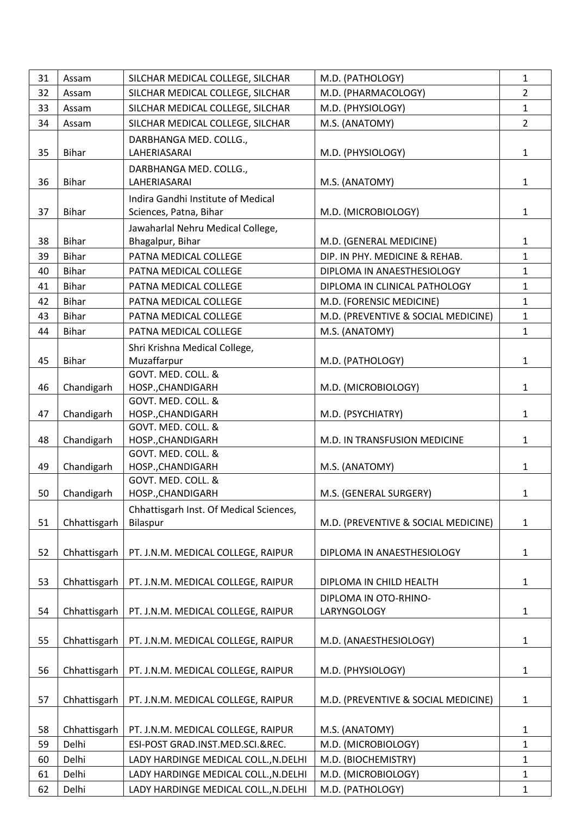| 31 | Assam        | SILCHAR MEDICAL COLLEGE, SILCHAR                    | M.D. (PATHOLOGY)                     | $\mathbf{1}$   |
|----|--------------|-----------------------------------------------------|--------------------------------------|----------------|
| 32 | Assam        | SILCHAR MEDICAL COLLEGE, SILCHAR                    | M.D. (PHARMACOLOGY)                  | $\overline{2}$ |
| 33 | Assam        | SILCHAR MEDICAL COLLEGE, SILCHAR                    | M.D. (PHYSIOLOGY)                    | $\mathbf{1}$   |
| 34 | Assam        | SILCHAR MEDICAL COLLEGE, SILCHAR                    | M.S. (ANATOMY)                       | $\overline{2}$ |
|    |              | DARBHANGA MED. COLLG.,                              |                                      |                |
| 35 | <b>Bihar</b> | LAHERIASARAI                                        | M.D. (PHYSIOLOGY)                    | $\mathbf{1}$   |
|    |              | DARBHANGA MED. COLLG.,                              |                                      |                |
| 36 | <b>Bihar</b> | LAHERIASARAI                                        | M.S. (ANATOMY)                       | $\mathbf{1}$   |
|    |              | Indira Gandhi Institute of Medical                  |                                      |                |
| 37 | <b>Bihar</b> | Sciences, Patna, Bihar                              | M.D. (MICROBIOLOGY)                  | $\mathbf{1}$   |
|    |              | Jawaharlal Nehru Medical College,                   |                                      |                |
| 38 | <b>Bihar</b> | Bhagalpur, Bihar                                    | M.D. (GENERAL MEDICINE)              | $\mathbf{1}$   |
| 39 | <b>Bihar</b> | PATNA MEDICAL COLLEGE                               | DIP. IN PHY. MEDICINE & REHAB.       | $\mathbf{1}$   |
| 40 | Bihar        | PATNA MEDICAL COLLEGE                               | DIPLOMA IN ANAESTHESIOLOGY           | $\mathbf{1}$   |
| 41 | Bihar        | PATNA MEDICAL COLLEGE                               | DIPLOMA IN CLINICAL PATHOLOGY        | $\mathbf{1}$   |
| 42 | Bihar        | PATNA MEDICAL COLLEGE                               | M.D. (FORENSIC MEDICINE)             | $\mathbf{1}$   |
| 43 | <b>Bihar</b> | PATNA MEDICAL COLLEGE                               | M.D. (PREVENTIVE & SOCIAL MEDICINE)  | $\mathbf{1}$   |
| 44 | Bihar        | PATNA MEDICAL COLLEGE                               | M.S. (ANATOMY)                       | $\mathbf{1}$   |
|    |              |                                                     |                                      |                |
| 45 | <b>Bihar</b> | Shri Krishna Medical College,<br>Muzaffarpur        | M.D. (PATHOLOGY)                     | $\mathbf{1}$   |
|    |              | GOVT. MED. COLL. &                                  |                                      |                |
| 46 | Chandigarh   | HOSP., CHANDIGARH                                   | M.D. (MICROBIOLOGY)                  | $\mathbf{1}$   |
|    |              | GOVT. MED. COLL. &                                  |                                      |                |
| 47 | Chandigarh   | HOSP., CHANDIGARH                                   | M.D. (PSYCHIATRY)                    | $\mathbf{1}$   |
|    |              | GOVT. MED. COLL. &                                  |                                      |                |
| 48 | Chandigarh   | HOSP., CHANDIGARH                                   | M.D. IN TRANSFUSION MEDICINE         | $\mathbf{1}$   |
|    |              | GOVT. MED. COLL. &                                  |                                      |                |
| 49 | Chandigarh   | HOSP., CHANDIGARH                                   | M.S. (ANATOMY)                       | $\mathbf{1}$   |
| 50 | Chandigarh   | GOVT. MED. COLL. &<br>HOSP., CHANDIGARH             | M.S. (GENERAL SURGERY)               | $\mathbf{1}$   |
|    |              |                                                     |                                      |                |
| 51 | Chhattisgarh | Chhattisgarh Inst. Of Medical Sciences,<br>Bilaspur | M.D. (PREVENTIVE & SOCIAL MEDICINE)  | 1              |
|    |              |                                                     |                                      |                |
| 52 |              | PT. J.N.M. MEDICAL COLLEGE, RAIPUR                  | DIPLOMA IN ANAESTHESIOLOGY           |                |
|    | Chhattisgarh |                                                     |                                      | 1              |
| 53 |              | PT. J.N.M. MEDICAL COLLEGE, RAIPUR                  | DIPLOMA IN CHILD HEALTH              |                |
|    | Chhattisgarh |                                                     |                                      | 1              |
| 54 | Chhattisgarh |                                                     | DIPLOMA IN OTO-RHINO-<br>LARYNGOLOGY |                |
|    |              | PT. J.N.M. MEDICAL COLLEGE, RAIPUR                  |                                      | 1              |
|    |              |                                                     |                                      |                |
| 55 | Chhattisgarh | PT. J.N.M. MEDICAL COLLEGE, RAIPUR                  | M.D. (ANAESTHESIOLOGY)               | $\mathbf{1}$   |
|    |              |                                                     |                                      |                |
| 56 | Chhattisgarh | PT. J.N.M. MEDICAL COLLEGE, RAIPUR                  | M.D. (PHYSIOLOGY)                    | 1              |
|    |              |                                                     |                                      |                |
| 57 | Chhattisgarh | PT. J.N.M. MEDICAL COLLEGE, RAIPUR                  | M.D. (PREVENTIVE & SOCIAL MEDICINE)  | 1              |
|    |              |                                                     |                                      |                |
| 58 | Chhattisgarh | PT. J.N.M. MEDICAL COLLEGE, RAIPUR                  | M.S. (ANATOMY)                       | 1              |
| 59 | Delhi        | ESI-POST GRAD.INST.MED.SCI.&REC.                    | M.D. (MICROBIOLOGY)                  | $\mathbf{1}$   |
| 60 | Delhi        | LADY HARDINGE MEDICAL COLL., N.DELHI                | M.D. (BIOCHEMISTRY)                  | 1              |
| 61 | Delhi        | LADY HARDINGE MEDICAL COLL., N.DELHI                | M.D. (MICROBIOLOGY)                  | 1              |
| 62 | Delhi        | LADY HARDINGE MEDICAL COLL., N.DELHI                | M.D. (PATHOLOGY)                     | $\mathbf{1}$   |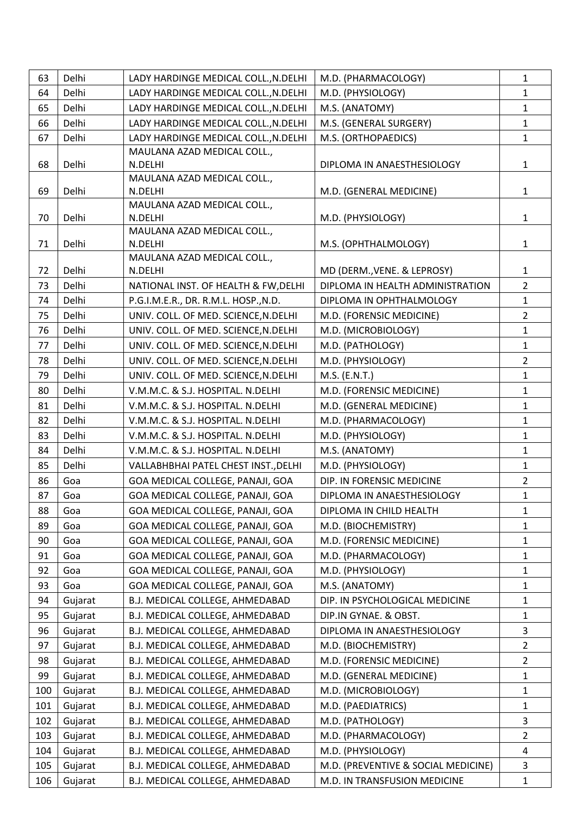| 63  | Delhi   | LADY HARDINGE MEDICAL COLL., N.DELHI   | M.D. (PHARMACOLOGY)                 | $\mathbf{1}$            |
|-----|---------|----------------------------------------|-------------------------------------|-------------------------|
| 64  | Delhi   | LADY HARDINGE MEDICAL COLL., N.DELHI   | M.D. (PHYSIOLOGY)                   | $\mathbf{1}$            |
| 65  | Delhi   | LADY HARDINGE MEDICAL COLL., N.DELHI   | M.S. (ANATOMY)                      | $\mathbf{1}$            |
| 66  | Delhi   | LADY HARDINGE MEDICAL COLL., N.DELHI   | M.S. (GENERAL SURGERY)              | $\mathbf{1}$            |
| 67  | Delhi   | LADY HARDINGE MEDICAL COLL., N.DELHI   | M.S. (ORTHOPAEDICS)                 | $\mathbf{1}$            |
|     |         | MAULANA AZAD MEDICAL COLL.,            |                                     |                         |
| 68  | Delhi   | N.DELHI                                | DIPLOMA IN ANAESTHESIOLOGY          | $\mathbf{1}$            |
|     |         | MAULANA AZAD MEDICAL COLL.,            |                                     |                         |
| 69  | Delhi   | N.DELHI                                | M.D. (GENERAL MEDICINE)             | $\mathbf{1}$            |
|     |         | MAULANA AZAD MEDICAL COLL.,            |                                     |                         |
| 70  | Delhi   | N.DELHI                                | M.D. (PHYSIOLOGY)                   | $\mathbf{1}$            |
| 71  | Delhi   | MAULANA AZAD MEDICAL COLL.,<br>N.DELHI | M.S. (OPHTHALMOLOGY)                | $\mathbf{1}$            |
|     |         | MAULANA AZAD MEDICAL COLL.,            |                                     |                         |
| 72  | Delhi   | N.DELHI                                | MD (DERM., VENE. & LEPROSY)         | $\mathbf{1}$            |
| 73  | Delhi   | NATIONAL INST. OF HEALTH & FW, DELHI   | DIPLOMA IN HEALTH ADMINISTRATION    | $\overline{2}$          |
| 74  | Delhi   | P.G.I.M.E.R., DR. R.M.L. HOSP., N.D.   | DIPLOMA IN OPHTHALMOLOGY            | $\mathbf{1}$            |
| 75  | Delhi   | UNIV. COLL. OF MED. SCIENCE, N.DELHI   | M.D. (FORENSIC MEDICINE)            | $\overline{2}$          |
| 76  | Delhi   | UNIV. COLL. OF MED. SCIENCE, N.DELHI   | M.D. (MICROBIOLOGY)                 | $\mathbf 1$             |
| 77  | Delhi   | UNIV. COLL. OF MED. SCIENCE, N.DELHI   | M.D. (PATHOLOGY)                    | $\mathbf{1}$            |
|     |         |                                        |                                     | $\overline{2}$          |
| 78  | Delhi   | UNIV. COLL. OF MED. SCIENCE, N.DELHI   | M.D. (PHYSIOLOGY)                   |                         |
| 79  | Delhi   | UNIV. COLL. OF MED. SCIENCE, N.DELHI   | M.S. (E.N.T.)                       | $\mathbf{1}$            |
| 80  | Delhi   | V.M.M.C. & S.J. HOSPITAL. N.DELHI      | M.D. (FORENSIC MEDICINE)            | $\mathbf{1}$            |
| 81  | Delhi   | V.M.M.C. & S.J. HOSPITAL. N.DELHI      | M.D. (GENERAL MEDICINE)             | $\mathbf{1}$            |
| 82  | Delhi   | V.M.M.C. & S.J. HOSPITAL. N.DELHI      | M.D. (PHARMACOLOGY)                 | $\mathbf{1}$            |
| 83  | Delhi   | V.M.M.C. & S.J. HOSPITAL. N.DELHI      | M.D. (PHYSIOLOGY)                   | $\mathbf{1}$            |
| 84  | Delhi   | V.M.M.C. & S.J. HOSPITAL. N.DELHI      | M.S. (ANATOMY)                      | $\mathbf{1}$            |
| 85  | Delhi   | VALLABHBHAI PATEL CHEST INST., DELHI   | M.D. (PHYSIOLOGY)                   | $\mathbf{1}$            |
| 86  | Goa     | GOA MEDICAL COLLEGE, PANAJI, GOA       | DIP. IN FORENSIC MEDICINE           | $\overline{2}$          |
| 87  | Goa     | GOA MEDICAL COLLEGE, PANAJI, GOA       | DIPLOMA IN ANAESTHESIOLOGY          | $\mathbf{1}$            |
| 88  | Goa     | GOA MEDICAL COLLEGE, PANAJI, GOA       | DIPLOMA IN CHILD HEALTH             | 1                       |
| 89  | Goa     | GOA MEDICAL COLLEGE, PANAJI, GOA       | M.D. (BIOCHEMISTRY)                 | 1                       |
| 90  | Goa     | GOA MEDICAL COLLEGE, PANAJI, GOA       | M.D. (FORENSIC MEDICINE)            | $\mathbf{1}$            |
| 91  | Goa     | GOA MEDICAL COLLEGE, PANAJI, GOA       | M.D. (PHARMACOLOGY)                 | $\mathbf 1$             |
| 92  | Goa     | GOA MEDICAL COLLEGE, PANAJI, GOA       | M.D. (PHYSIOLOGY)                   | $\mathbf{1}$            |
| 93  | Goa     | GOA MEDICAL COLLEGE, PANAJI, GOA       | M.S. (ANATOMY)                      | $\mathbf{1}$            |
| 94  | Gujarat | B.J. MEDICAL COLLEGE, AHMEDABAD        | DIP. IN PSYCHOLOGICAL MEDICINE      | $\mathbf{1}$            |
| 95  | Gujarat | B.J. MEDICAL COLLEGE, AHMEDABAD        | DIP.IN GYNAE. & OBST.               | $\mathbf{1}$            |
| 96  | Gujarat | B.J. MEDICAL COLLEGE, AHMEDABAD        | DIPLOMA IN ANAESTHESIOLOGY          | 3                       |
| 97  | Gujarat | B.J. MEDICAL COLLEGE, AHMEDABAD        | M.D. (BIOCHEMISTRY)                 | $\overline{2}$          |
| 98  | Gujarat | B.J. MEDICAL COLLEGE, AHMEDABAD        | M.D. (FORENSIC MEDICINE)            | $\overline{2}$          |
| 99  | Gujarat | B.J. MEDICAL COLLEGE, AHMEDABAD        | M.D. (GENERAL MEDICINE)             | 1                       |
| 100 | Gujarat | B.J. MEDICAL COLLEGE, AHMEDABAD        | M.D. (MICROBIOLOGY)                 | $\mathbf{1}$            |
| 101 | Gujarat | B.J. MEDICAL COLLEGE, AHMEDABAD        | M.D. (PAEDIATRICS)                  | $\mathbf{1}$            |
| 102 | Gujarat | B.J. MEDICAL COLLEGE, AHMEDABAD        | M.D. (PATHOLOGY)                    | 3                       |
| 103 | Gujarat | B.J. MEDICAL COLLEGE, AHMEDABAD        | M.D. (PHARMACOLOGY)                 | $\overline{2}$          |
| 104 | Gujarat | B.J. MEDICAL COLLEGE, AHMEDABAD        | M.D. (PHYSIOLOGY)                   | $\overline{\mathbf{4}}$ |
| 105 | Gujarat | B.J. MEDICAL COLLEGE, AHMEDABAD        | M.D. (PREVENTIVE & SOCIAL MEDICINE) | 3                       |
| 106 | Gujarat | B.J. MEDICAL COLLEGE, AHMEDABAD        | M.D. IN TRANSFUSION MEDICINE        | $\mathbf{1}$            |
|     |         |                                        |                                     |                         |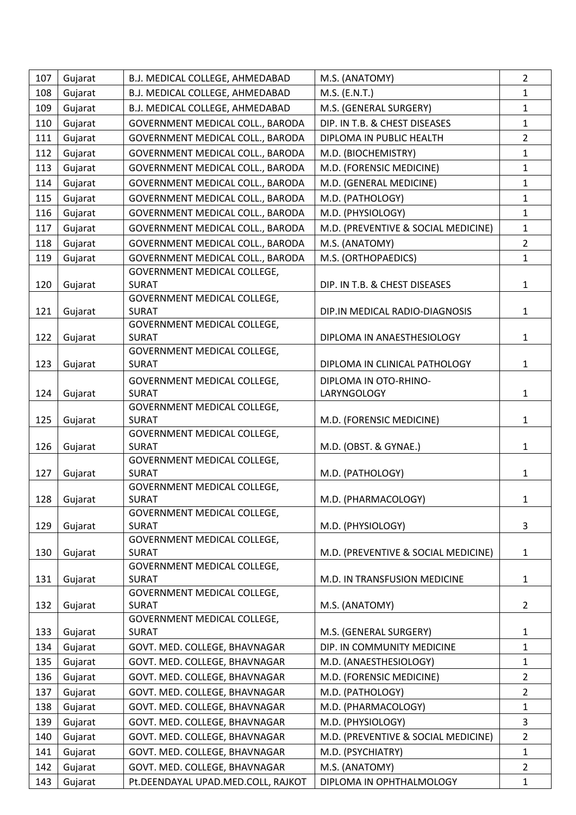| 107 | Gujarat | B.J. MEDICAL COLLEGE, AHMEDABAD             | M.S. (ANATOMY)                       | $\overline{2}$ |
|-----|---------|---------------------------------------------|--------------------------------------|----------------|
| 108 | Gujarat | B.J. MEDICAL COLLEGE, AHMEDABAD             | M.S. (E.N.T.)                        | $\mathbf{1}$   |
| 109 | Gujarat | B.J. MEDICAL COLLEGE, AHMEDABAD             | M.S. (GENERAL SURGERY)               | $\mathbf{1}$   |
| 110 | Gujarat | GOVERNMENT MEDICAL COLL., BARODA            | DIP. IN T.B. & CHEST DISEASES        | $\mathbf{1}$   |
| 111 | Gujarat | GOVERNMENT MEDICAL COLL., BARODA            | DIPLOMA IN PUBLIC HEALTH             | $2^{\circ}$    |
| 112 | Gujarat | GOVERNMENT MEDICAL COLL., BARODA            | M.D. (BIOCHEMISTRY)                  | $\mathbf{1}$   |
| 113 | Gujarat | GOVERNMENT MEDICAL COLL., BARODA            | M.D. (FORENSIC MEDICINE)             | $\mathbf{1}$   |
| 114 | Gujarat | GOVERNMENT MEDICAL COLL., BARODA            | M.D. (GENERAL MEDICINE)              | $\mathbf{1}$   |
| 115 | Gujarat | GOVERNMENT MEDICAL COLL., BARODA            | M.D. (PATHOLOGY)                     | $\mathbf{1}$   |
| 116 | Gujarat | GOVERNMENT MEDICAL COLL., BARODA            | M.D. (PHYSIOLOGY)                    | $\mathbf{1}$   |
| 117 | Gujarat | GOVERNMENT MEDICAL COLL., BARODA            | M.D. (PREVENTIVE & SOCIAL MEDICINE)  | $\mathbf{1}$   |
| 118 | Gujarat | GOVERNMENT MEDICAL COLL., BARODA            | M.S. (ANATOMY)                       | $2^{\circ}$    |
| 119 | Gujarat | GOVERNMENT MEDICAL COLL., BARODA            | M.S. (ORTHOPAEDICS)                  | $\mathbf{1}$   |
|     |         | GOVERNMENT MEDICAL COLLEGE,                 |                                      |                |
| 120 | Gujarat | <b>SURAT</b>                                | DIP. IN T.B. & CHEST DISEASES        | $\mathbf{1}$   |
|     |         | GOVERNMENT MEDICAL COLLEGE,                 |                                      |                |
| 121 | Gujarat | <b>SURAT</b>                                | DIP.IN MEDICAL RADIO-DIAGNOSIS       | $\mathbf{1}$   |
|     |         | GOVERNMENT MEDICAL COLLEGE,                 |                                      |                |
| 122 | Gujarat | <b>SURAT</b>                                | DIPLOMA IN ANAESTHESIOLOGY           | $\mathbf{1}$   |
| 123 | Gujarat | GOVERNMENT MEDICAL COLLEGE,<br><b>SURAT</b> | DIPLOMA IN CLINICAL PATHOLOGY        | $\mathbf{1}$   |
|     |         |                                             |                                      |                |
| 124 | Gujarat | GOVERNMENT MEDICAL COLLEGE,<br><b>SURAT</b> | DIPLOMA IN OTO-RHINO-<br>LARYNGOLOGY | $\mathbf{1}$   |
|     |         | GOVERNMENT MEDICAL COLLEGE,                 |                                      |                |
| 125 | Gujarat | <b>SURAT</b>                                | M.D. (FORENSIC MEDICINE)             | $\mathbf{1}$   |
|     |         | GOVERNMENT MEDICAL COLLEGE,                 |                                      |                |
| 126 | Gujarat | <b>SURAT</b>                                | M.D. (OBST. & GYNAE.)                | $\mathbf{1}$   |
|     |         | GOVERNMENT MEDICAL COLLEGE,                 |                                      |                |
| 127 | Gujarat | <b>SURAT</b>                                | M.D. (PATHOLOGY)                     | $\mathbf{1}$   |
| 128 |         | GOVERNMENT MEDICAL COLLEGE,                 |                                      |                |
|     | Gujarat | <b>SURAT</b><br>GOVERNMENT MEDICAL COLLEGE, | M.D. (PHARMACOLOGY)                  | 1              |
| 129 | Gujarat | <b>SURAT</b>                                | M.D. (PHYSIOLOGY)                    | 3              |
|     |         | GOVERNMENT MEDICAL COLLEGE,                 |                                      |                |
| 130 | Gujarat | <b>SURAT</b>                                | M.D. (PREVENTIVE & SOCIAL MEDICINE)  | $\mathbf{1}$   |
|     |         | GOVERNMENT MEDICAL COLLEGE,                 |                                      |                |
| 131 | Gujarat | <b>SURAT</b>                                | M.D. IN TRANSFUSION MEDICINE         | $\mathbf{1}$   |
|     |         | GOVERNMENT MEDICAL COLLEGE,                 |                                      |                |
| 132 | Gujarat | <b>SURAT</b>                                | M.S. (ANATOMY)                       | $\overline{2}$ |
| 133 | Gujarat | GOVERNMENT MEDICAL COLLEGE,<br><b>SURAT</b> | M.S. (GENERAL SURGERY)               | $\mathbf{1}$   |
| 134 | Gujarat | GOVT. MED. COLLEGE, BHAVNAGAR               | DIP. IN COMMUNITY MEDICINE           | $\mathbf{1}$   |
| 135 | Gujarat | GOVT. MED. COLLEGE, BHAVNAGAR               | M.D. (ANAESTHESIOLOGY)               | $\mathbf{1}$   |
| 136 | Gujarat | GOVT. MED. COLLEGE, BHAVNAGAR               | M.D. (FORENSIC MEDICINE)             | $\overline{2}$ |
| 137 |         |                                             |                                      | $\overline{2}$ |
|     | Gujarat | GOVT. MED. COLLEGE, BHAVNAGAR               | M.D. (PATHOLOGY)                     |                |
| 138 | Gujarat | GOVT. MED. COLLEGE, BHAVNAGAR               | M.D. (PHARMACOLOGY)                  | $\mathbf{1}$   |
| 139 | Gujarat | GOVT. MED. COLLEGE, BHAVNAGAR               | M.D. (PHYSIOLOGY)                    | 3              |
| 140 | Gujarat | GOVT. MED. COLLEGE, BHAVNAGAR               | M.D. (PREVENTIVE & SOCIAL MEDICINE)  | $2^{\circ}$    |
| 141 | Gujarat | GOVT. MED. COLLEGE, BHAVNAGAR               | M.D. (PSYCHIATRY)                    | $\mathbf{1}$   |
| 142 | Gujarat | GOVT. MED. COLLEGE, BHAVNAGAR               | M.S. (ANATOMY)                       | $\overline{2}$ |
| 143 | Gujarat | Pt.DEENDAYAL UPAD.MED.COLL, RAJKOT          | DIPLOMA IN OPHTHALMOLOGY             | $\mathbf{1}$   |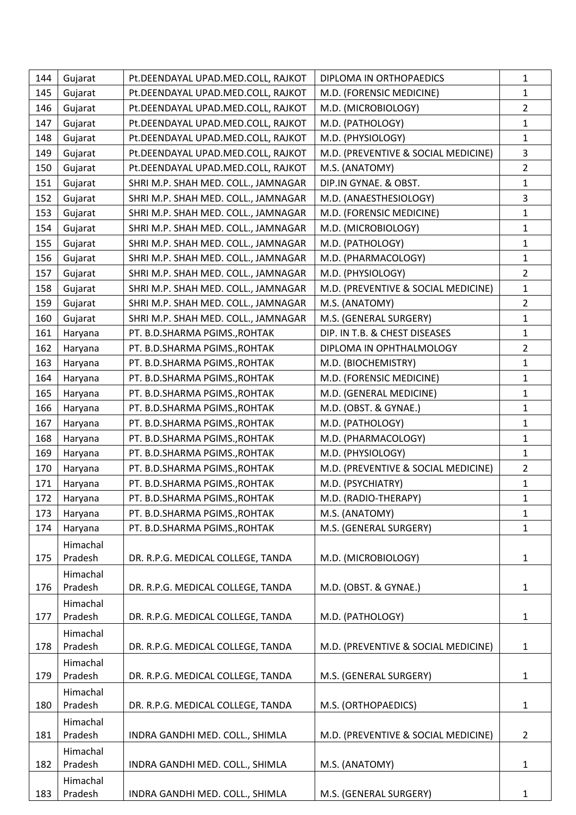| 144 | Gujarat  | Pt.DEENDAYAL UPAD.MED.COLL, RAJKOT  | DIPLOMA IN ORTHOPAEDICS             | $\mathbf{1}$   |
|-----|----------|-------------------------------------|-------------------------------------|----------------|
| 145 | Gujarat  | Pt.DEENDAYAL UPAD.MED.COLL, RAJKOT  | M.D. (FORENSIC MEDICINE)            | $\mathbf{1}$   |
| 146 | Gujarat  | Pt.DEENDAYAL UPAD.MED.COLL, RAJKOT  | M.D. (MICROBIOLOGY)                 | $\overline{2}$ |
| 147 | Gujarat  | Pt.DEENDAYAL UPAD.MED.COLL, RAJKOT  | M.D. (PATHOLOGY)                    | $\mathbf{1}$   |
| 148 | Gujarat  | Pt.DEENDAYAL UPAD.MED.COLL, RAJKOT  | M.D. (PHYSIOLOGY)                   | $\mathbf{1}$   |
| 149 | Gujarat  | Pt.DEENDAYAL UPAD.MED.COLL, RAJKOT  | M.D. (PREVENTIVE & SOCIAL MEDICINE) | 3              |
| 150 | Gujarat  | Pt.DEENDAYAL UPAD.MED.COLL, RAJKOT  | M.S. (ANATOMY)                      | $\overline{2}$ |
| 151 | Gujarat  | SHRI M.P. SHAH MED. COLL., JAMNAGAR | DIP.IN GYNAE. & OBST.               | $\mathbf{1}$   |
| 152 | Gujarat  | SHRI M.P. SHAH MED. COLL., JAMNAGAR | M.D. (ANAESTHESIOLOGY)              | 3              |
| 153 | Gujarat  | SHRI M.P. SHAH MED. COLL., JAMNAGAR | M.D. (FORENSIC MEDICINE)            | $\mathbf{1}$   |
| 154 | Gujarat  | SHRI M.P. SHAH MED. COLL., JAMNAGAR | M.D. (MICROBIOLOGY)                 | $\mathbf{1}$   |
| 155 | Gujarat  | SHRI M.P. SHAH MED. COLL., JAMNAGAR | M.D. (PATHOLOGY)                    | $\mathbf{1}$   |
| 156 | Gujarat  | SHRI M.P. SHAH MED. COLL., JAMNAGAR | M.D. (PHARMACOLOGY)                 | $\mathbf{1}$   |
| 157 | Gujarat  | SHRI M.P. SHAH MED. COLL., JAMNAGAR | M.D. (PHYSIOLOGY)                   | $\overline{2}$ |
| 158 | Gujarat  | SHRI M.P. SHAH MED. COLL., JAMNAGAR | M.D. (PREVENTIVE & SOCIAL MEDICINE) | $\mathbf{1}$   |
| 159 | Gujarat  | SHRI M.P. SHAH MED. COLL., JAMNAGAR | M.S. (ANATOMY)                      | $\overline{2}$ |
| 160 | Gujarat  | SHRI M.P. SHAH MED. COLL., JAMNAGAR | M.S. (GENERAL SURGERY)              | $\mathbf 1$    |
| 161 | Haryana  | PT. B.D.SHARMA PGIMS., ROHTAK       | DIP. IN T.B. & CHEST DISEASES       | $\mathbf{1}$   |
| 162 | Haryana  | PT. B.D.SHARMA PGIMS., ROHTAK       | DIPLOMA IN OPHTHALMOLOGY            | $\overline{2}$ |
| 163 | Haryana  | PT. B.D.SHARMA PGIMS., ROHTAK       | M.D. (BIOCHEMISTRY)                 | $\mathbf 1$    |
| 164 | Haryana  | PT. B.D.SHARMA PGIMS., ROHTAK       | M.D. (FORENSIC MEDICINE)            | $\mathbf 1$    |
| 165 | Haryana  | PT. B.D.SHARMA PGIMS., ROHTAK       | M.D. (GENERAL MEDICINE)             | $\mathbf{1}$   |
| 166 | Haryana  | PT. B.D.SHARMA PGIMS., ROHTAK       | M.D. (OBST. & GYNAE.)               | $\mathbf 1$    |
| 167 | Haryana  | PT. B.D.SHARMA PGIMS., ROHTAK       | M.D. (PATHOLOGY)                    | $\mathbf{1}$   |
| 168 | Haryana  | PT. B.D.SHARMA PGIMS., ROHTAK       | M.D. (PHARMACOLOGY)                 | $\mathbf{1}$   |
| 169 | Haryana  | PT. B.D.SHARMA PGIMS., ROHTAK       | M.D. (PHYSIOLOGY)                   | $\mathbf{1}$   |
| 170 | Haryana  | PT. B.D.SHARMA PGIMS., ROHTAK       | M.D. (PREVENTIVE & SOCIAL MEDICINE) | $\overline{2}$ |
| 171 | Haryana  | PT. B.D.SHARMA PGIMS., ROHTAK       | M.D. (PSYCHIATRY)                   | $\mathbf{1}$   |
| 172 | Haryana  | PT. B.D.SHARMA PGIMS., ROHTAK       | M.D. (RADIO-THERAPY)                | $\mathbf{1}$   |
| 173 | Haryana  | PT. B.D.SHARMA PGIMS., ROHTAK       | M.S. (ANATOMY)                      | $\mathbf{1}$   |
| 174 | Haryana  | PT. B.D.SHARMA PGIMS., ROHTAK       | M.S. (GENERAL SURGERY)              | $\mathbf{1}$   |
|     | Himachal |                                     |                                     |                |
| 175 | Pradesh  | DR. R.P.G. MEDICAL COLLEGE, TANDA   | M.D. (MICROBIOLOGY)                 | $\mathbf{1}$   |
|     | Himachal |                                     |                                     |                |
| 176 | Pradesh  | DR. R.P.G. MEDICAL COLLEGE, TANDA   | M.D. (OBST. & GYNAE.)               | $\mathbf{1}$   |
|     | Himachal |                                     |                                     |                |
| 177 | Pradesh  | DR. R.P.G. MEDICAL COLLEGE, TANDA   | M.D. (PATHOLOGY)                    | $\mathbf{1}$   |
|     | Himachal |                                     |                                     |                |
| 178 | Pradesh  | DR. R.P.G. MEDICAL COLLEGE, TANDA   | M.D. (PREVENTIVE & SOCIAL MEDICINE) | $\mathbf{1}$   |
|     | Himachal |                                     |                                     |                |
| 179 | Pradesh  | DR. R.P.G. MEDICAL COLLEGE, TANDA   | M.S. (GENERAL SURGERY)              | $\mathbf{1}$   |
|     | Himachal |                                     |                                     |                |
| 180 | Pradesh  | DR. R.P.G. MEDICAL COLLEGE, TANDA   | M.S. (ORTHOPAEDICS)                 | $\mathbf{1}$   |
|     | Himachal |                                     |                                     |                |
| 181 | Pradesh  | INDRA GANDHI MED. COLL., SHIMLA     | M.D. (PREVENTIVE & SOCIAL MEDICINE) | $\overline{2}$ |
|     | Himachal |                                     |                                     |                |
| 182 | Pradesh  | INDRA GANDHI MED. COLL., SHIMLA     | M.S. (ANATOMY)                      | $\mathbf{1}$   |
|     | Himachal |                                     |                                     |                |
| 183 | Pradesh  | INDRA GANDHI MED. COLL., SHIMLA     | M.S. (GENERAL SURGERY)              | $\mathbf{1}$   |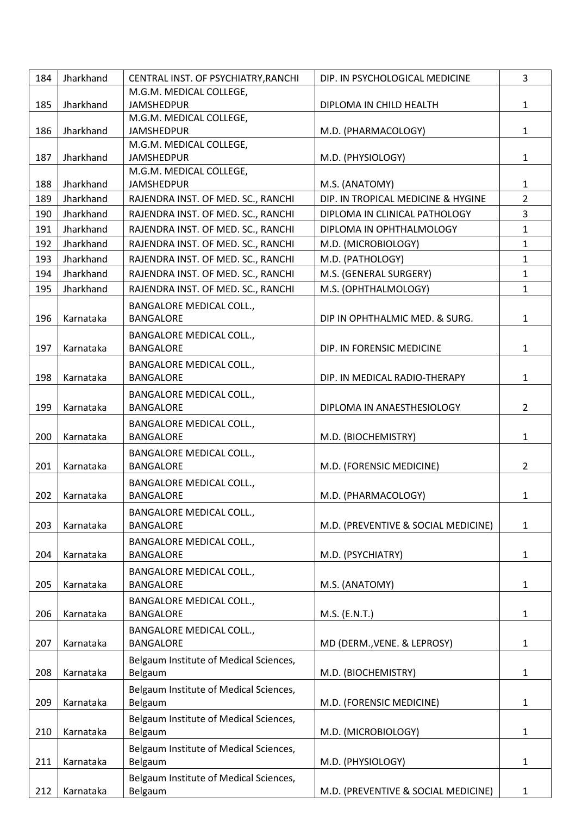| 184 | Jharkhand | CENTRAL INST. OF PSYCHIATRY, RANCHI                 | DIP. IN PSYCHOLOGICAL MEDICINE      | 3              |
|-----|-----------|-----------------------------------------------------|-------------------------------------|----------------|
|     |           | M.G.M. MEDICAL COLLEGE,                             |                                     |                |
| 185 | Jharkhand | <b>JAMSHEDPUR</b>                                   | DIPLOMA IN CHILD HEALTH             | $\mathbf{1}$   |
|     |           | M.G.M. MEDICAL COLLEGE,                             |                                     |                |
| 186 | Jharkhand | <b>JAMSHEDPUR</b>                                   | M.D. (PHARMACOLOGY)                 | $\mathbf{1}$   |
|     |           | M.G.M. MEDICAL COLLEGE,                             |                                     |                |
| 187 | Jharkhand | <b>JAMSHEDPUR</b>                                   | M.D. (PHYSIOLOGY)                   | $\mathbf{1}$   |
|     |           | M.G.M. MEDICAL COLLEGE,                             |                                     |                |
| 188 | Jharkhand | <b>JAMSHEDPUR</b>                                   | M.S. (ANATOMY)                      | $\mathbf{1}$   |
| 189 | Jharkhand | RAJENDRA INST. OF MED. SC., RANCHI                  | DIP. IN TROPICAL MEDICINE & HYGINE  | $\overline{2}$ |
| 190 | Jharkhand | RAJENDRA INST. OF MED. SC., RANCHI                  | DIPLOMA IN CLINICAL PATHOLOGY       | 3              |
| 191 | Jharkhand | RAJENDRA INST. OF MED. SC., RANCHI                  | DIPLOMA IN OPHTHALMOLOGY            | $\mathbf{1}$   |
| 192 | Jharkhand | RAJENDRA INST. OF MED. SC., RANCHI                  | M.D. (MICROBIOLOGY)                 | $\mathbf{1}$   |
| 193 | Jharkhand | RAJENDRA INST. OF MED. SC., RANCHI                  | M.D. (PATHOLOGY)                    | $\mathbf{1}$   |
| 194 | Jharkhand | RAJENDRA INST. OF MED. SC., RANCHI                  | M.S. (GENERAL SURGERY)              | $\mathbf{1}$   |
| 195 | Jharkhand | RAJENDRA INST. OF MED. SC., RANCHI                  | M.S. (OPHTHALMOLOGY)                | $\mathbf{1}$   |
|     |           | <b>BANGALORE MEDICAL COLL.,</b>                     |                                     |                |
| 196 | Karnataka | <b>BANGALORE</b>                                    | DIP IN OPHTHALMIC MED. & SURG.      | $\mathbf{1}$   |
|     |           |                                                     |                                     |                |
|     |           | <b>BANGALORE MEDICAL COLL.,</b>                     |                                     |                |
| 197 | Karnataka | <b>BANGALORE</b>                                    | DIP. IN FORENSIC MEDICINE           | $\mathbf{1}$   |
|     |           | <b>BANGALORE MEDICAL COLL.,</b>                     |                                     |                |
| 198 | Karnataka | <b>BANGALORE</b>                                    | DIP. IN MEDICAL RADIO-THERAPY       | $\mathbf{1}$   |
|     |           | <b>BANGALORE MEDICAL COLL.,</b>                     |                                     |                |
| 199 | Karnataka | <b>BANGALORE</b>                                    | DIPLOMA IN ANAESTHESIOLOGY          | $\overline{2}$ |
|     |           | <b>BANGALORE MEDICAL COLL.,</b>                     |                                     |                |
| 200 | Karnataka | <b>BANGALORE</b>                                    | M.D. (BIOCHEMISTRY)                 | $\mathbf{1}$   |
|     |           | <b>BANGALORE MEDICAL COLL.,</b>                     |                                     |                |
| 201 | Karnataka | <b>BANGALORE</b>                                    | M.D. (FORENSIC MEDICINE)            | $\overline{2}$ |
|     |           | <b>BANGALORE MEDICAL COLL.,</b>                     |                                     |                |
| 202 | Karnataka | <b>BANGALORE</b>                                    | M.D. (PHARMACOLOGY)                 | 1              |
|     |           | <b>BANGALORE MEDICAL COLL.,</b>                     |                                     |                |
| 203 | Karnataka | <b>BANGALORE</b>                                    | M.D. (PREVENTIVE & SOCIAL MEDICINE) | 1              |
|     |           |                                                     |                                     |                |
|     | Karnataka | <b>BANGALORE MEDICAL COLL.,</b><br><b>BANGALORE</b> |                                     |                |
| 204 |           |                                                     | M.D. (PSYCHIATRY)                   | 1              |
|     |           | <b>BANGALORE MEDICAL COLL.,</b>                     |                                     |                |
| 205 | Karnataka | <b>BANGALORE</b>                                    | M.S. (ANATOMY)                      | $\mathbf{1}$   |
|     |           | <b>BANGALORE MEDICAL COLL.,</b>                     |                                     |                |
| 206 | Karnataka | <b>BANGALORE</b>                                    | M.S. (E.N.T.)                       | 1              |
|     |           | <b>BANGALORE MEDICAL COLL.,</b>                     |                                     |                |
| 207 | Karnataka | <b>BANGALORE</b>                                    | MD (DERM., VENE. & LEPROSY)         | 1              |
|     |           | Belgaum Institute of Medical Sciences,              |                                     |                |
| 208 | Karnataka | Belgaum                                             | M.D. (BIOCHEMISTRY)                 | $\mathbf{1}$   |
|     |           | Belgaum Institute of Medical Sciences,              |                                     |                |
| 209 | Karnataka | Belgaum                                             | M.D. (FORENSIC MEDICINE)            | $\mathbf{1}$   |
|     |           | Belgaum Institute of Medical Sciences,              |                                     |                |
| 210 | Karnataka | Belgaum                                             | M.D. (MICROBIOLOGY)                 | 1              |
|     |           |                                                     |                                     |                |
| 211 | Karnataka | Belgaum Institute of Medical Sciences,<br>Belgaum   | M.D. (PHYSIOLOGY)                   | 1              |
|     |           |                                                     |                                     |                |
|     |           | Belgaum Institute of Medical Sciences,              |                                     |                |
| 212 | Karnataka | Belgaum                                             | M.D. (PREVENTIVE & SOCIAL MEDICINE) | 1              |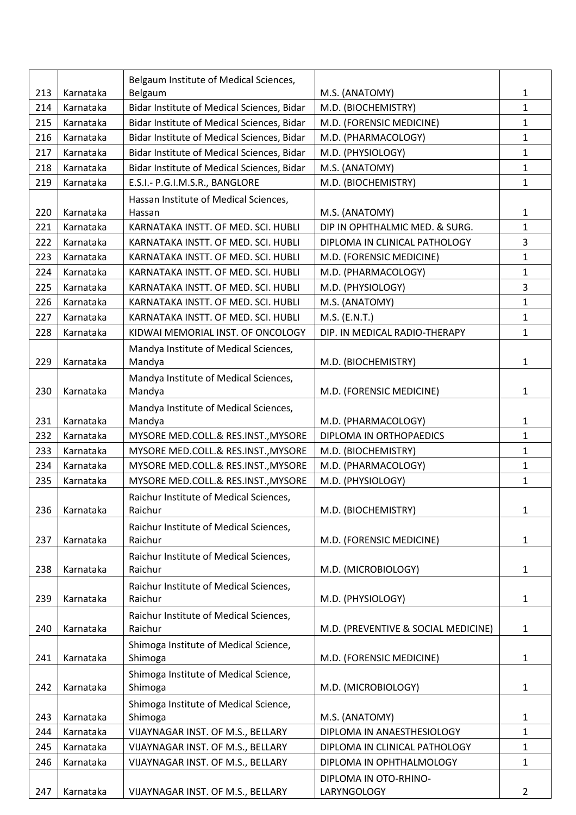|     |           | Belgaum Institute of Medical Sciences,     |                                     |                |
|-----|-----------|--------------------------------------------|-------------------------------------|----------------|
| 213 | Karnataka | Belgaum                                    | M.S. (ANATOMY)                      | 1              |
| 214 | Karnataka | Bidar Institute of Medical Sciences, Bidar | M.D. (BIOCHEMISTRY)                 | $\mathbf{1}$   |
| 215 | Karnataka | Bidar Institute of Medical Sciences, Bidar | M.D. (FORENSIC MEDICINE)            | $\mathbf{1}$   |
| 216 | Karnataka | Bidar Institute of Medical Sciences, Bidar | M.D. (PHARMACOLOGY)                 | $\mathbf{1}$   |
| 217 | Karnataka | Bidar Institute of Medical Sciences, Bidar | M.D. (PHYSIOLOGY)                   | $\mathbf{1}$   |
| 218 | Karnataka | Bidar Institute of Medical Sciences, Bidar | M.S. (ANATOMY)                      | $\mathbf{1}$   |
| 219 | Karnataka | E.S.I.- P.G.I.M.S.R., BANGLORE             | M.D. (BIOCHEMISTRY)                 | $\mathbf{1}$   |
|     |           | Hassan Institute of Medical Sciences,      |                                     |                |
| 220 | Karnataka | Hassan                                     | M.S. (ANATOMY)                      | 1              |
| 221 | Karnataka | KARNATAKA INSTT. OF MED. SCI. HUBLI        | DIP IN OPHTHALMIC MED. & SURG.      | $\mathbf{1}$   |
| 222 | Karnataka | KARNATAKA INSTT. OF MED. SCI. HUBLI        | DIPLOMA IN CLINICAL PATHOLOGY       | 3              |
| 223 | Karnataka | KARNATAKA INSTT. OF MED. SCI. HUBLI        | M.D. (FORENSIC MEDICINE)            | $\mathbf{1}$   |
| 224 | Karnataka | KARNATAKA INSTT. OF MED. SCI. HUBLI        | M.D. (PHARMACOLOGY)                 | $\mathbf{1}$   |
| 225 | Karnataka | KARNATAKA INSTT. OF MED. SCI. HUBLI        | M.D. (PHYSIOLOGY)                   | 3              |
| 226 | Karnataka | KARNATAKA INSTT. OF MED. SCI. HUBLI        | M.S. (ANATOMY)                      | $\mathbf{1}$   |
| 227 | Karnataka | KARNATAKA INSTT. OF MED. SCI. HUBLI        | M.S. (E.N.T.)                       | $\mathbf{1}$   |
| 228 | Karnataka | KIDWAI MEMORIAL INST. OF ONCOLOGY          | DIP. IN MEDICAL RADIO-THERAPY       | 1              |
|     |           | Mandya Institute of Medical Sciences,      |                                     |                |
| 229 | Karnataka | Mandya                                     | M.D. (BIOCHEMISTRY)                 | 1              |
|     |           | Mandya Institute of Medical Sciences,      |                                     |                |
| 230 | Karnataka | Mandya                                     | M.D. (FORENSIC MEDICINE)            | 1              |
|     |           | Mandya Institute of Medical Sciences,      |                                     |                |
| 231 | Karnataka | Mandya                                     | M.D. (PHARMACOLOGY)                 | 1              |
| 232 | Karnataka | MYSORE MED.COLL.& RES.INST., MYSORE        | DIPLOMA IN ORTHOPAEDICS             | $\mathbf{1}$   |
| 233 | Karnataka | MYSORE MED.COLL.& RES.INST., MYSORE        | M.D. (BIOCHEMISTRY)                 | $\mathbf{1}$   |
| 234 | Karnataka | MYSORE MED.COLL.& RES.INST., MYSORE        | M.D. (PHARMACOLOGY)                 | $\mathbf{1}$   |
| 235 | Karnataka | MYSORE MED.COLL.& RES.INST., MYSORE        | M.D. (PHYSIOLOGY)                   | $\mathbf{1}$   |
|     |           | Raichur Institute of Medical Sciences,     |                                     |                |
| 236 | Karnataka | Raichur                                    | M.D. (BIOCHEMISTRY)                 | 1              |
|     |           | Raichur Institute of Medical Sciences,     |                                     |                |
| 237 | Karnataka | Raichur                                    | M.D. (FORENSIC MEDICINE)            | 1              |
|     |           | Raichur Institute of Medical Sciences,     |                                     |                |
| 238 | Karnataka | Raichur                                    | M.D. (MICROBIOLOGY)                 | $\mathbf{1}$   |
|     |           | Raichur Institute of Medical Sciences,     |                                     |                |
| 239 | Karnataka | Raichur                                    | M.D. (PHYSIOLOGY)                   | 1              |
|     |           | Raichur Institute of Medical Sciences,     |                                     |                |
| 240 | Karnataka | Raichur                                    | M.D. (PREVENTIVE & SOCIAL MEDICINE) | 1              |
|     |           | Shimoga Institute of Medical Science,      |                                     |                |
| 241 | Karnataka | Shimoga                                    | M.D. (FORENSIC MEDICINE)            | 1              |
|     |           | Shimoga Institute of Medical Science,      |                                     |                |
| 242 | Karnataka | Shimoga                                    | M.D. (MICROBIOLOGY)                 | 1              |
|     |           | Shimoga Institute of Medical Science,      |                                     |                |
| 243 | Karnataka | Shimoga                                    | M.S. (ANATOMY)                      | 1              |
| 244 | Karnataka | VIJAYNAGAR INST. OF M.S., BELLARY          | DIPLOMA IN ANAESTHESIOLOGY          | $\mathbf{1}$   |
| 245 | Karnataka | VIJAYNAGAR INST. OF M.S., BELLARY          | DIPLOMA IN CLINICAL PATHOLOGY       | $\mathbf{1}$   |
| 246 | Karnataka | VIJAYNAGAR INST. OF M.S., BELLARY          | DIPLOMA IN OPHTHALMOLOGY            | 1              |
|     |           |                                            | DIPLOMA IN OTO-RHINO-               |                |
| 247 | Karnataka | VIJAYNAGAR INST. OF M.S., BELLARY          | LARYNGOLOGY                         | $\overline{2}$ |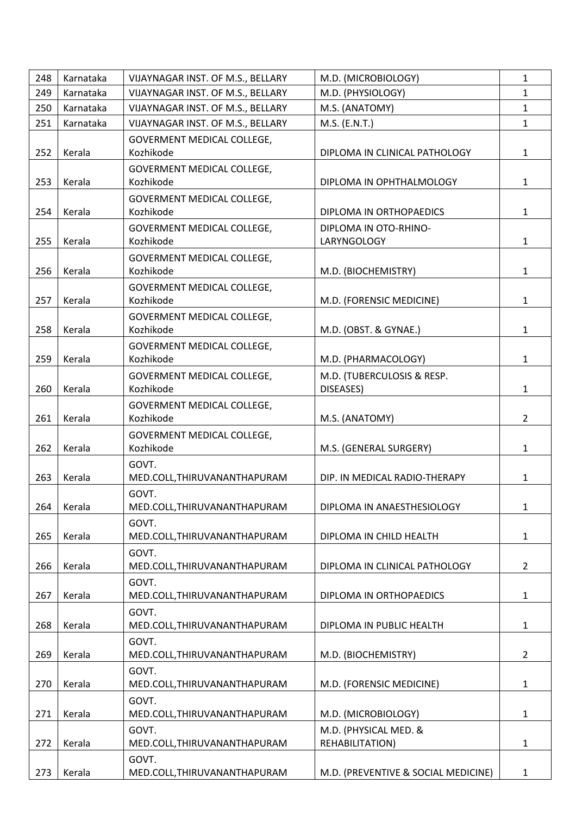| 248 | Karnataka | VIJAYNAGAR INST. OF M.S., BELLARY              | M.D. (MICROBIOLOGY)                      | $\mathbf{1}$   |
|-----|-----------|------------------------------------------------|------------------------------------------|----------------|
| 249 | Karnataka | VIJAYNAGAR INST. OF M.S., BELLARY              | M.D. (PHYSIOLOGY)                        | $\mathbf{1}$   |
| 250 | Karnataka | VIJAYNAGAR INST. OF M.S., BELLARY              | M.S. (ANATOMY)                           | $\mathbf{1}$   |
| 251 | Karnataka | VIJAYNAGAR INST. OF M.S., BELLARY              | M.S. (E.N.T.)                            | $\mathbf{1}$   |
| 252 | Kerala    | <b>GOVERMENT MEDICAL COLLEGE,</b><br>Kozhikode | DIPLOMA IN CLINICAL PATHOLOGY            | $\mathbf{1}$   |
| 253 | Kerala    | GOVERMENT MEDICAL COLLEGE,<br>Kozhikode        | DIPLOMA IN OPHTHALMOLOGY                 | $\mathbf{1}$   |
| 254 | Kerala    | GOVERMENT MEDICAL COLLEGE,<br>Kozhikode        | DIPLOMA IN ORTHOPAEDICS                  | $\mathbf{1}$   |
| 255 | Kerala    | GOVERMENT MEDICAL COLLEGE,<br>Kozhikode        | DIPLOMA IN OTO-RHINO-<br>LARYNGOLOGY     | $\mathbf{1}$   |
| 256 | Kerala    | GOVERMENT MEDICAL COLLEGE,<br>Kozhikode        | M.D. (BIOCHEMISTRY)                      | $\mathbf{1}$   |
| 257 | Kerala    | GOVERMENT MEDICAL COLLEGE,<br>Kozhikode        | M.D. (FORENSIC MEDICINE)                 | $\mathbf{1}$   |
| 258 | Kerala    | GOVERMENT MEDICAL COLLEGE,<br>Kozhikode        | M.D. (OBST. & GYNAE.)                    | $\mathbf{1}$   |
| 259 | Kerala    | GOVERMENT MEDICAL COLLEGE,<br>Kozhikode        | M.D. (PHARMACOLOGY)                      | $\mathbf{1}$   |
| 260 | Kerala    | GOVERMENT MEDICAL COLLEGE,<br>Kozhikode        | M.D. (TUBERCULOSIS & RESP.<br>DISEASES)  | $\mathbf{1}$   |
| 261 | Kerala    | GOVERMENT MEDICAL COLLEGE,<br>Kozhikode        | M.S. (ANATOMY)                           | $\overline{2}$ |
| 262 | Kerala    | GOVERMENT MEDICAL COLLEGE,<br>Kozhikode        | M.S. (GENERAL SURGERY)                   | $\mathbf{1}$   |
| 263 | Kerala    | GOVT.<br>MED.COLL, THIRUVANANTHAPURAM          | DIP. IN MEDICAL RADIO-THERAPY            | $\mathbf{1}$   |
| 264 | Kerala    | GOVT.<br>MED.COLL, THIRUVANANTHAPURAM          | DIPLOMA IN ANAESTHESIOLOGY               | 1              |
| 265 | Kerala    | GOVT.<br>MED.COLL, THIRUVANANTHAPURAM          | DIPLOMA IN CHILD HEALTH                  | $\mathbf{1}$   |
| 266 | Kerala    | GOVT.<br>MED.COLL, THIRUVANANTHAPURAM          | DIPLOMA IN CLINICAL PATHOLOGY            | $\overline{2}$ |
| 267 | Kerala    | GOVT.<br>MED.COLL, THIRUVANANTHAPURAM          | DIPLOMA IN ORTHOPAEDICS                  | $\mathbf{1}$   |
| 268 | Kerala    | GOVT.<br>MED.COLL, THIRUVANANTHAPURAM          | DIPLOMA IN PUBLIC HEALTH                 | $\mathbf{1}$   |
| 269 | Kerala    | GOVT.<br>MED.COLL, THIRUVANANTHAPURAM          | M.D. (BIOCHEMISTRY)                      | $\overline{2}$ |
| 270 | Kerala    | GOVT.<br>MED.COLL, THIRUVANANTHAPURAM          | M.D. (FORENSIC MEDICINE)                 | $\mathbf{1}$   |
| 271 | Kerala    | GOVT.<br>MED.COLL, THIRUVANANTHAPURAM          | M.D. (MICROBIOLOGY)                      | $\mathbf{1}$   |
| 272 | Kerala    | GOVT.<br>MED.COLL, THIRUVANANTHAPURAM          | M.D. (PHYSICAL MED. &<br>REHABILITATION) | $\mathbf{1}$   |
| 273 | Kerala    | GOVT.<br>MED.COLL, THIRUVANANTHAPURAM          | M.D. (PREVENTIVE & SOCIAL MEDICINE)      | $\mathbf{1}$   |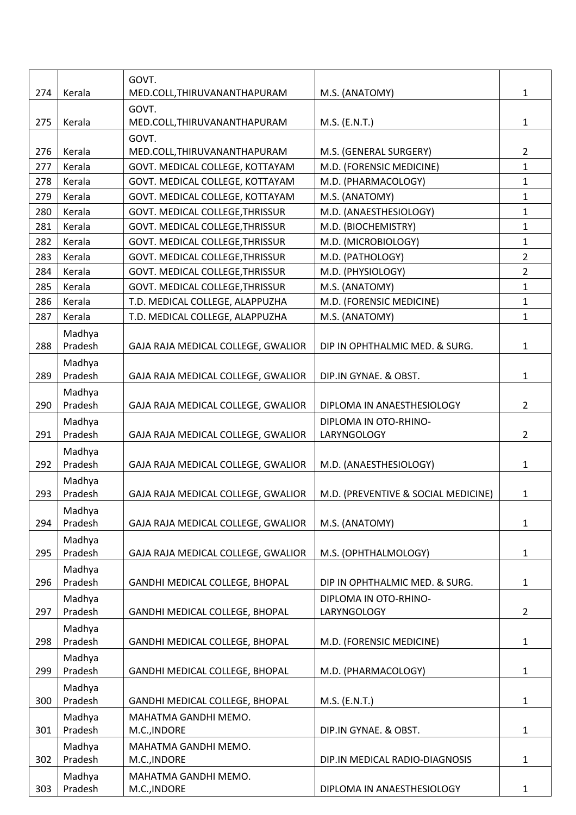| 274 | Kerala            | GOVT.<br>MED.COLL, THIRUVANANTHAPURAM | M.S. (ANATOMY)                      | $\mathbf{1}$   |
|-----|-------------------|---------------------------------------|-------------------------------------|----------------|
| 275 | Kerala            | GOVT.<br>MED.COLL, THIRUVANANTHAPURAM | M.S. (E.N.T.)                       | $\mathbf{1}$   |
|     |                   | GOVT.                                 |                                     |                |
| 276 | Kerala            | MED.COLL, THIRUVANANTHAPURAM          | M.S. (GENERAL SURGERY)              | $\overline{2}$ |
| 277 | Kerala            | GOVT. MEDICAL COLLEGE, KOTTAYAM       | M.D. (FORENSIC MEDICINE)            | $\mathbf{1}$   |
| 278 | Kerala            | GOVT. MEDICAL COLLEGE, KOTTAYAM       | M.D. (PHARMACOLOGY)                 | $\mathbf{1}$   |
| 279 | Kerala            | GOVT. MEDICAL COLLEGE, KOTTAYAM       | M.S. (ANATOMY)                      | $\mathbf{1}$   |
| 280 | Kerala            | GOVT. MEDICAL COLLEGE, THRISSUR       | M.D. (ANAESTHESIOLOGY)              | $\mathbf{1}$   |
| 281 | Kerala            | GOVT. MEDICAL COLLEGE, THRISSUR       | M.D. (BIOCHEMISTRY)                 | $\mathbf{1}$   |
| 282 | Kerala            | GOVT. MEDICAL COLLEGE, THRISSUR       | M.D. (MICROBIOLOGY)                 | $\mathbf{1}$   |
| 283 | Kerala            | GOVT. MEDICAL COLLEGE, THRISSUR       | M.D. (PATHOLOGY)                    | $\overline{2}$ |
| 284 | Kerala            | GOVT. MEDICAL COLLEGE, THRISSUR       | M.D. (PHYSIOLOGY)                   | $\overline{2}$ |
| 285 | Kerala            | GOVT. MEDICAL COLLEGE, THRISSUR       | M.S. (ANATOMY)                      | $\mathbf{1}$   |
| 286 | Kerala            | T.D. MEDICAL COLLEGE, ALAPPUZHA       | M.D. (FORENSIC MEDICINE)            | $\mathbf{1}$   |
| 287 | Kerala            | T.D. MEDICAL COLLEGE, ALAPPUZHA       | M.S. (ANATOMY)                      | $\mathbf{1}$   |
|     | Madhya            |                                       |                                     |                |
| 288 | Pradesh           | GAJA RAJA MEDICAL COLLEGE, GWALIOR    | DIP IN OPHTHALMIC MED. & SURG.      | $\mathbf{1}$   |
|     | Madhya            |                                       |                                     |                |
| 289 | Pradesh           | GAJA RAJA MEDICAL COLLEGE, GWALIOR    | DIP.IN GYNAE. & OBST.               | $\mathbf{1}$   |
|     | Madhya            |                                       |                                     |                |
| 290 | Pradesh           | GAJA RAJA MEDICAL COLLEGE, GWALIOR    | DIPLOMA IN ANAESTHESIOLOGY          | $\overline{2}$ |
|     | Madhya            |                                       | DIPLOMA IN OTO-RHINO-               |                |
| 291 | Pradesh           | GAJA RAJA MEDICAL COLLEGE, GWALIOR    | LARYNGOLOGY                         | $\overline{2}$ |
|     | Madhya            |                                       |                                     |                |
| 292 | Pradesh           | GAJA RAJA MEDICAL COLLEGE, GWALIOR    | M.D. (ANAESTHESIOLOGY)              | $\mathbf{1}$   |
|     | Madhya            |                                       |                                     |                |
| 293 | Pradesh           | GAJA RAJA MEDICAL COLLEGE, GWALIOR    | M.D. (PREVENTIVE & SOCIAL MEDICINE) | 1              |
|     | Madhya            |                                       |                                     |                |
| 294 | Pradesh           | GAJA RAJA MEDICAL COLLEGE, GWALIOR    | M.S. (ANATOMY)                      | $\mathbf{1}$   |
|     | Madhya            |                                       |                                     |                |
| 295 | Pradesh           | GAJA RAJA MEDICAL COLLEGE, GWALIOR    | M.S. (OPHTHALMOLOGY)                | 1              |
|     | Madhya            |                                       |                                     |                |
| 296 | Pradesh           | GANDHI MEDICAL COLLEGE, BHOPAL        | DIP IN OPHTHALMIC MED. & SURG.      | 1              |
|     | Madhya            |                                       | DIPLOMA IN OTO-RHINO-               |                |
| 297 | Pradesh           | GANDHI MEDICAL COLLEGE, BHOPAL        | LARYNGOLOGY                         | $\overline{2}$ |
|     | Madhya            |                                       |                                     |                |
| 298 | Pradesh           | GANDHI MEDICAL COLLEGE, BHOPAL        | M.D. (FORENSIC MEDICINE)            | 1              |
|     | Madhya            |                                       |                                     |                |
| 299 | Pradesh           | GANDHI MEDICAL COLLEGE, BHOPAL        | M.D. (PHARMACOLOGY)                 | 1              |
|     | Madhya            |                                       |                                     |                |
| 300 | Pradesh           | GANDHI MEDICAL COLLEGE, BHOPAL        | M.S. (E.N.T.)                       | $\mathbf{1}$   |
|     | Madhya            | MAHATMA GANDHI MEMO.                  |                                     |                |
| 301 | Pradesh           | M.C., INDORE                          | DIP.IN GYNAE. & OBST.               | $\mathbf{1}$   |
|     | Madhya            | MAHATMA GANDHI MEMO.                  |                                     |                |
| 302 | Pradesh           | M.C., INDORE                          | DIP.IN MEDICAL RADIO-DIAGNOSIS      | $\mathbf{1}$   |
| 303 | Madhya<br>Pradesh | MAHATMA GANDHI MEMO.<br>M.C., INDORE  | DIPLOMA IN ANAESTHESIOLOGY          | 1              |
|     |                   |                                       |                                     |                |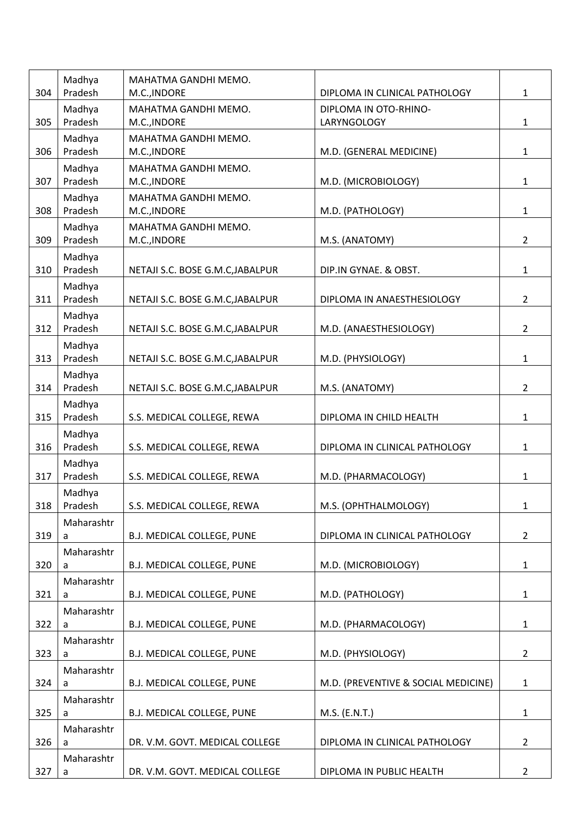|     | Madhya            | MAHATMA GANDHI MEMO.                 |                                      |                |
|-----|-------------------|--------------------------------------|--------------------------------------|----------------|
| 304 | Pradesh           | M.C., INDORE                         | DIPLOMA IN CLINICAL PATHOLOGY        | $\mathbf{1}$   |
| 305 | Madhya<br>Pradesh | MAHATMA GANDHI MEMO.<br>M.C., INDORE | DIPLOMA IN OTO-RHINO-<br>LARYNGOLOGY | $\mathbf{1}$   |
|     | Madhya            | MAHATMA GANDHI MEMO.                 |                                      |                |
| 306 | Pradesh           | M.C., INDORE                         | M.D. (GENERAL MEDICINE)              | $\mathbf{1}$   |
|     | Madhya            | MAHATMA GANDHI MEMO.                 |                                      |                |
| 307 | Pradesh           | M.C., INDORE                         | M.D. (MICROBIOLOGY)                  | $\mathbf{1}$   |
|     | Madhya            | MAHATMA GANDHI MEMO.                 |                                      |                |
| 308 | Pradesh           | M.C., INDORE                         | M.D. (PATHOLOGY)                     | $\mathbf{1}$   |
| 309 | Madhya<br>Pradesh | MAHATMA GANDHI MEMO.<br>M.C., INDORE | M.S. (ANATOMY)                       | $\overline{2}$ |
|     | Madhya            |                                      |                                      |                |
| 310 | Pradesh           | NETAJI S.C. BOSE G.M.C, JABALPUR     | DIP.IN GYNAE. & OBST.                | 1              |
|     | Madhya            |                                      |                                      |                |
| 311 | Pradesh           | NETAJI S.C. BOSE G.M.C, JABALPUR     | DIPLOMA IN ANAESTHESIOLOGY           | $2^{\circ}$    |
|     | Madhya            |                                      |                                      |                |
| 312 | Pradesh           | NETAJI S.C. BOSE G.M.C, JABALPUR     | M.D. (ANAESTHESIOLOGY)               | $2^{\circ}$    |
|     | Madhya            |                                      |                                      |                |
| 313 | Pradesh           | NETAJI S.C. BOSE G.M.C, JABALPUR     | M.D. (PHYSIOLOGY)                    | $\mathbf{1}$   |
|     | Madhya            |                                      |                                      |                |
| 314 | Pradesh           | NETAJI S.C. BOSE G.M.C, JABALPUR     | M.S. (ANATOMY)                       | $\overline{2}$ |
|     | Madhya            |                                      |                                      |                |
| 315 | Pradesh           | S.S. MEDICAL COLLEGE, REWA           | DIPLOMA IN CHILD HEALTH              | $\mathbf{1}$   |
| 316 | Madhya<br>Pradesh | S.S. MEDICAL COLLEGE, REWA           | DIPLOMA IN CLINICAL PATHOLOGY        | $\mathbf{1}$   |
|     |                   |                                      |                                      |                |
| 317 | Madhya<br>Pradesh | S.S. MEDICAL COLLEGE, REWA           | M.D. (PHARMACOLOGY)                  | $\mathbf{1}$   |
|     | Madhya            |                                      |                                      |                |
| 318 | Pradesh           | S.S. MEDICAL COLLEGE, REWA           | M.S. (OPHTHALMOLOGY)                 | $\mathbf{1}$   |
|     | Maharashtr        |                                      |                                      |                |
| 319 | a                 | B.J. MEDICAL COLLEGE, PUNE           | DIPLOMA IN CLINICAL PATHOLOGY        | $\overline{2}$ |
|     | Maharashtr        |                                      |                                      |                |
| 320 | a                 | <b>B.J. MEDICAL COLLEGE, PUNE</b>    | M.D. (MICROBIOLOGY)                  | $\mathbf{1}$   |
|     | Maharashtr        |                                      |                                      |                |
| 321 | a                 | B.J. MEDICAL COLLEGE, PUNE           | M.D. (PATHOLOGY)                     | $\mathbf{1}$   |
|     | Maharashtr        |                                      |                                      |                |
| 322 | a                 | B.J. MEDICAL COLLEGE, PUNE           | M.D. (PHARMACOLOGY)                  | $\mathbf{1}$   |
| 323 | Maharashtr<br>a   | B.J. MEDICAL COLLEGE, PUNE           | M.D. (PHYSIOLOGY)                    | $2^{\circ}$    |
|     | Maharashtr        |                                      |                                      |                |
| 324 | a                 | B.J. MEDICAL COLLEGE, PUNE           | M.D. (PREVENTIVE & SOCIAL MEDICINE)  | $\mathbf{1}$   |
|     | Maharashtr        |                                      |                                      |                |
| 325 | a                 | <b>B.J. MEDICAL COLLEGE, PUNE</b>    | $M.S.$ (E.N.T.)                      | $\mathbf{1}$   |
|     | Maharashtr        |                                      |                                      |                |
| 326 | a                 | DR. V.M. GOVT. MEDICAL COLLEGE       | DIPLOMA IN CLINICAL PATHOLOGY        | $\overline{2}$ |
|     | Maharashtr        |                                      |                                      |                |
| 327 | a                 | DR. V.M. GOVT. MEDICAL COLLEGE       | DIPLOMA IN PUBLIC HEALTH             | $2^{\circ}$    |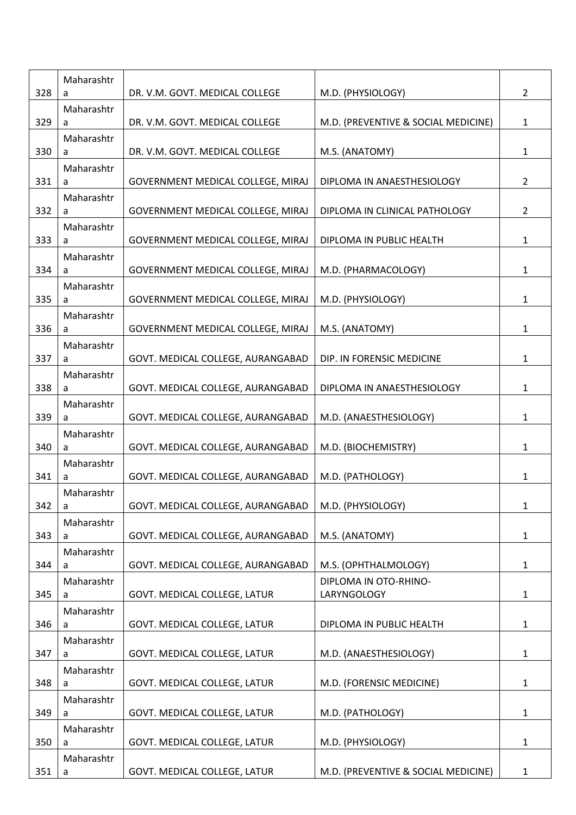| 328 | Maharashtr<br>a | DR. V.M. GOVT. MEDICAL COLLEGE    | M.D. (PHYSIOLOGY)                   | $2^{\circ}$    |
|-----|-----------------|-----------------------------------|-------------------------------------|----------------|
| 329 | Maharashtr<br>a | DR. V.M. GOVT. MEDICAL COLLEGE    | M.D. (PREVENTIVE & SOCIAL MEDICINE) | $\mathbf{1}$   |
|     | Maharashtr      |                                   |                                     |                |
| 330 | a               | DR. V.M. GOVT. MEDICAL COLLEGE    | M.S. (ANATOMY)                      | $\mathbf{1}$   |
| 331 | Maharashtr<br>a | GOVERNMENT MEDICAL COLLEGE, MIRAJ | DIPLOMA IN ANAESTHESIOLOGY          | $\overline{2}$ |
| 332 | Maharashtr<br>a | GOVERNMENT MEDICAL COLLEGE, MIRAJ | DIPLOMA IN CLINICAL PATHOLOGY       | $\overline{2}$ |
| 333 | Maharashtr<br>a | GOVERNMENT MEDICAL COLLEGE, MIRAJ | DIPLOMA IN PUBLIC HEALTH            | $\mathbf{1}$   |
| 334 | Maharashtr<br>a | GOVERNMENT MEDICAL COLLEGE, MIRAJ | M.D. (PHARMACOLOGY)                 | $\mathbf{1}$   |
| 335 | Maharashtr<br>a | GOVERNMENT MEDICAL COLLEGE, MIRAJ | M.D. (PHYSIOLOGY)                   | $\mathbf{1}$   |
|     | Maharashtr      |                                   |                                     |                |
| 336 | a<br>Maharashtr | GOVERNMENT MEDICAL COLLEGE, MIRAJ | M.S. (ANATOMY)                      | $\mathbf{1}$   |
| 337 | a               | GOVT. MEDICAL COLLEGE, AURANGABAD | DIP. IN FORENSIC MEDICINE           | $\mathbf{1}$   |
| 338 | Maharashtr<br>a | GOVT. MEDICAL COLLEGE, AURANGABAD | DIPLOMA IN ANAESTHESIOLOGY          | $\mathbf{1}$   |
| 339 | Maharashtr<br>a | GOVT. MEDICAL COLLEGE, AURANGABAD | M.D. (ANAESTHESIOLOGY)              | $\mathbf{1}$   |
| 340 | Maharashtr<br>a | GOVT. MEDICAL COLLEGE, AURANGABAD | M.D. (BIOCHEMISTRY)                 | $\mathbf{1}$   |
| 341 | Maharashtr<br>a | GOVT. MEDICAL COLLEGE, AURANGABAD | M.D. (PATHOLOGY)                    | 1              |
| 342 | Maharashtr<br>a | GOVT. MEDICAL COLLEGE, AURANGABAD | M.D. (PHYSIOLOGY)                   | 1              |
| 343 | Maharashtr<br>a | GOVT. MEDICAL COLLEGE, AURANGABAD | M.S. (ANATOMY)                      | $\mathbf{1}$   |
| 344 | Maharashtr<br>a | GOVT. MEDICAL COLLEGE, AURANGABAD | M.S. (OPHTHALMOLOGY)                | $\mathbf{1}$   |
|     | Maharashtr      |                                   | DIPLOMA IN OTO-RHINO-               |                |
| 345 | a<br>Maharashtr | GOVT. MEDICAL COLLEGE, LATUR      | LARYNGOLOGY                         | $\mathbf{1}$   |
| 346 | a               | GOVT. MEDICAL COLLEGE, LATUR      | DIPLOMA IN PUBLIC HEALTH            | $\mathbf{1}$   |
| 347 | Maharashtr<br>a | GOVT. MEDICAL COLLEGE, LATUR      | M.D. (ANAESTHESIOLOGY)              | $\mathbf{1}$   |
| 348 | Maharashtr<br>a | GOVT. MEDICAL COLLEGE, LATUR      | M.D. (FORENSIC MEDICINE)            | $\mathbf{1}$   |
| 349 | Maharashtr<br>a | GOVT. MEDICAL COLLEGE, LATUR      | M.D. (PATHOLOGY)                    | $\mathbf{1}$   |
|     | Maharashtr      |                                   |                                     |                |
| 350 | a               | GOVT. MEDICAL COLLEGE, LATUR      | M.D. (PHYSIOLOGY)                   | $\mathbf{1}$   |
| 351 | Maharashtr<br>a | GOVT. MEDICAL COLLEGE, LATUR      | M.D. (PREVENTIVE & SOCIAL MEDICINE) | $\mathbf{1}$   |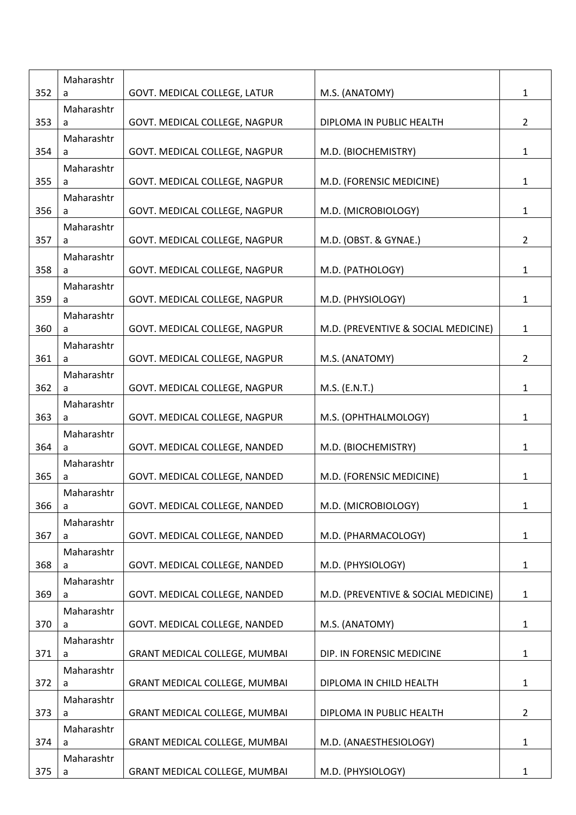| 352 | Maharashtr<br>a | GOVT. MEDICAL COLLEGE, LATUR         | M.S. (ANATOMY)                      | $\mathbf{1}$   |
|-----|-----------------|--------------------------------------|-------------------------------------|----------------|
| 353 | Maharashtr<br>a | GOVT. MEDICAL COLLEGE, NAGPUR        | DIPLOMA IN PUBLIC HEALTH            | $2^{\circ}$    |
|     | Maharashtr      |                                      |                                     |                |
| 354 | a               | GOVT. MEDICAL COLLEGE, NAGPUR        | M.D. (BIOCHEMISTRY)                 | $\mathbf 1$    |
| 355 | Maharashtr<br>a | GOVT. MEDICAL COLLEGE, NAGPUR        | M.D. (FORENSIC MEDICINE)            | $\mathbf{1}$   |
|     | Maharashtr      |                                      |                                     |                |
| 356 | a               | GOVT. MEDICAL COLLEGE, NAGPUR        | M.D. (MICROBIOLOGY)                 | $\mathbf{1}$   |
|     | Maharashtr      |                                      |                                     |                |
| 357 | a               | GOVT. MEDICAL COLLEGE, NAGPUR        | M.D. (OBST. & GYNAE.)               | $2^{\circ}$    |
| 358 | Maharashtr      |                                      | M.D. (PATHOLOGY)                    | $\mathbf{1}$   |
|     | a<br>Maharashtr | GOVT. MEDICAL COLLEGE, NAGPUR        |                                     |                |
| 359 | a               | GOVT. MEDICAL COLLEGE, NAGPUR        | M.D. (PHYSIOLOGY)                   | $\mathbf{1}$   |
|     | Maharashtr      |                                      |                                     |                |
| 360 | a               | GOVT. MEDICAL COLLEGE, NAGPUR        | M.D. (PREVENTIVE & SOCIAL MEDICINE) | $\mathbf{1}$   |
|     | Maharashtr      |                                      |                                     |                |
| 361 | a               | GOVT. MEDICAL COLLEGE, NAGPUR        | M.S. (ANATOMY)                      | $2^{\circ}$    |
| 362 | Maharashtr<br>a | GOVT. MEDICAL COLLEGE, NAGPUR        | M.S. (E.N.T.)                       | $\mathbf{1}$   |
|     | Maharashtr      |                                      |                                     |                |
| 363 | a               | GOVT. MEDICAL COLLEGE, NAGPUR        | M.S. (OPHTHALMOLOGY)                | $\mathbf{1}$   |
|     | Maharashtr      |                                      |                                     |                |
| 364 | a               | GOVT. MEDICAL COLLEGE, NANDED        | M.D. (BIOCHEMISTRY)                 | $\mathbf{1}$   |
|     | Maharashtr      |                                      |                                     |                |
| 365 | a               | GOVT. MEDICAL COLLEGE, NANDED        | M.D. (FORENSIC MEDICINE)            | $\mathbf{1}$   |
| 366 | Maharashtr<br>a | GOVT. MEDICAL COLLEGE, NANDED        | M.D. (MICROBIOLOGY)                 | 1              |
|     | Maharashtr      |                                      |                                     |                |
| 367 | a               | GOVT. MEDICAL COLLEGE, NANDED        | M.D. (PHARMACOLOGY)                 | $\mathbf{1}$   |
|     | Maharashtr      |                                      |                                     |                |
| 368 | a               | GOVT. MEDICAL COLLEGE, NANDED        | M.D. (PHYSIOLOGY)                   | $\mathbf{1}$   |
|     | Maharashtr      |                                      |                                     |                |
| 369 | a               | GOVT. MEDICAL COLLEGE, NANDED        | M.D. (PREVENTIVE & SOCIAL MEDICINE) | $\mathbf{1}$   |
| 370 | Maharashtr<br>a | GOVT. MEDICAL COLLEGE, NANDED        | M.S. (ANATOMY)                      | $\mathbf{1}$   |
|     | Maharashtr      |                                      |                                     |                |
| 371 | a               | GRANT MEDICAL COLLEGE, MUMBAI        | DIP. IN FORENSIC MEDICINE           | $\mathbf{1}$   |
|     | Maharashtr      |                                      |                                     |                |
| 372 | a               | <b>GRANT MEDICAL COLLEGE, MUMBAI</b> | DIPLOMA IN CHILD HEALTH             | $\mathbf{1}$   |
|     | Maharashtr      |                                      |                                     |                |
| 373 | a               | <b>GRANT MEDICAL COLLEGE, MUMBAI</b> | DIPLOMA IN PUBLIC HEALTH            | $\overline{2}$ |
| 374 | Maharashtr<br>a | <b>GRANT MEDICAL COLLEGE, MUMBAI</b> | M.D. (ANAESTHESIOLOGY)              | $\mathbf{1}$   |
|     | Maharashtr      |                                      |                                     |                |
| 375 | a               | GRANT MEDICAL COLLEGE, MUMBAI        | M.D. (PHYSIOLOGY)                   | $\mathbf{1}$   |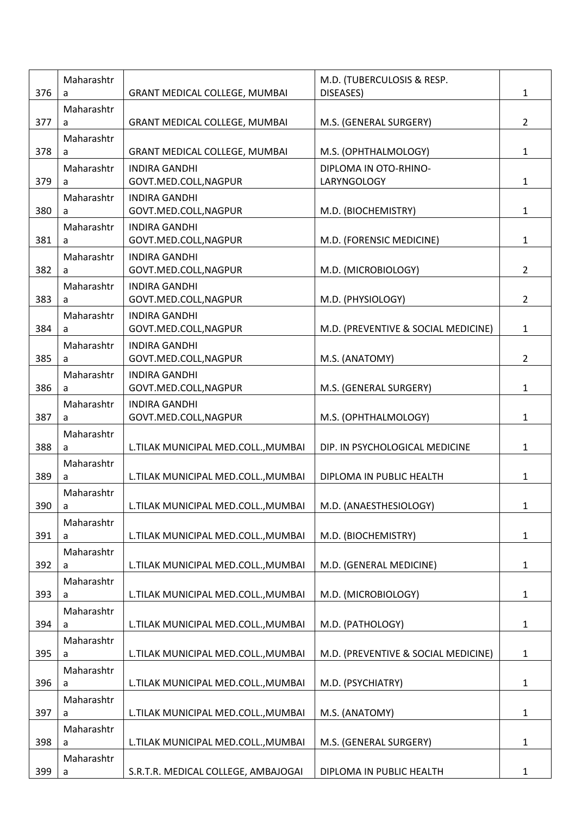|     | Maharashtr      |                                               | M.D. (TUBERCULOSIS & RESP.           |                |
|-----|-----------------|-----------------------------------------------|--------------------------------------|----------------|
| 376 | a               | GRANT MEDICAL COLLEGE, MUMBAI                 | DISEASES)                            | $\mathbf{1}$   |
| 377 | Maharashtr<br>a | <b>GRANT MEDICAL COLLEGE, MUMBAI</b>          | M.S. (GENERAL SURGERY)               | $\overline{2}$ |
|     | Maharashtr      |                                               |                                      |                |
| 378 | a               | GRANT MEDICAL COLLEGE, MUMBAI                 | M.S. (OPHTHALMOLOGY)                 | $\mathbf{1}$   |
| 379 | Maharashtr<br>a | <b>INDIRA GANDHI</b><br>GOVT.MED.COLL, NAGPUR | DIPLOMA IN OTO-RHINO-<br>LARYNGOLOGY | $\mathbf{1}$   |
| 380 | Maharashtr<br>a | <b>INDIRA GANDHI</b><br>GOVT.MED.COLL, NAGPUR | M.D. (BIOCHEMISTRY)                  | $\mathbf{1}$   |
| 381 | Maharashtr<br>a | <b>INDIRA GANDHI</b><br>GOVT.MED.COLL, NAGPUR | M.D. (FORENSIC MEDICINE)             | $\mathbf{1}$   |
| 382 | Maharashtr<br>a | <b>INDIRA GANDHI</b><br>GOVT.MED.COLL, NAGPUR | M.D. (MICROBIOLOGY)                  | $\overline{2}$ |
| 383 | Maharashtr<br>a | <b>INDIRA GANDHI</b><br>GOVT.MED.COLL, NAGPUR | M.D. (PHYSIOLOGY)                    | $\overline{2}$ |
| 384 | Maharashtr<br>a | <b>INDIRA GANDHI</b><br>GOVT.MED.COLL, NAGPUR | M.D. (PREVENTIVE & SOCIAL MEDICINE)  | $\mathbf{1}$   |
| 385 | Maharashtr<br>a | <b>INDIRA GANDHI</b><br>GOVT.MED.COLL, NAGPUR | M.S. (ANATOMY)                       | $\overline{2}$ |
| 386 | Maharashtr<br>a | <b>INDIRA GANDHI</b><br>GOVT.MED.COLL, NAGPUR | M.S. (GENERAL SURGERY)               | $\mathbf{1}$   |
| 387 | Maharashtr<br>a | <b>INDIRA GANDHI</b><br>GOVT.MED.COLL, NAGPUR | M.S. (OPHTHALMOLOGY)                 | $\mathbf{1}$   |
| 388 | Maharashtr<br>a | L.TILAK MUNICIPAL MED.COLL., MUMBAI           | DIP. IN PSYCHOLOGICAL MEDICINE       | $\mathbf{1}$   |
| 389 | Maharashtr<br>a | L.TILAK MUNICIPAL MED.COLL., MUMBAI           | DIPLOMA IN PUBLIC HEALTH             | 1              |
| 390 | Maharashtr<br>a | L.TILAK MUNICIPAL MED.COLL., MUMBAI           | M.D. (ANAESTHESIOLOGY)               | 1              |
| 391 | Maharashtr<br>a | L.TILAK MUNICIPAL MED.COLL., MUMBAI           | M.D. (BIOCHEMISTRY)                  | $\mathbf{1}$   |
| 392 | Maharashtr<br>a | L.TILAK MUNICIPAL MED.COLL., MUMBAI           | M.D. (GENERAL MEDICINE)              | $\mathbf{1}$   |
| 393 | Maharashtr<br>a | L.TILAK MUNICIPAL MED.COLL., MUMBAI           | M.D. (MICROBIOLOGY)                  | $\mathbf{1}$   |
| 394 | Maharashtr<br>a | L.TILAK MUNICIPAL MED.COLL., MUMBAI           | M.D. (PATHOLOGY)                     | $\mathbf{1}$   |
| 395 | Maharashtr<br>a | L.TILAK MUNICIPAL MED.COLL., MUMBAI           | M.D. (PREVENTIVE & SOCIAL MEDICINE)  | $\mathbf{1}$   |
| 396 | Maharashtr<br>a | L.TILAK MUNICIPAL MED.COLL., MUMBAI           | M.D. (PSYCHIATRY)                    | $\mathbf{1}$   |
| 397 | Maharashtr<br>a | L.TILAK MUNICIPAL MED.COLL., MUMBAI           | M.S. (ANATOMY)                       | $\mathbf{1}$   |
| 398 | Maharashtr<br>a | L.TILAK MUNICIPAL MED.COLL., MUMBAI           | M.S. (GENERAL SURGERY)               | $\mathbf{1}$   |
| 399 | Maharashtr<br>a | S.R.T.R. MEDICAL COLLEGE, AMBAJOGAI           | DIPLOMA IN PUBLIC HEALTH             | 1              |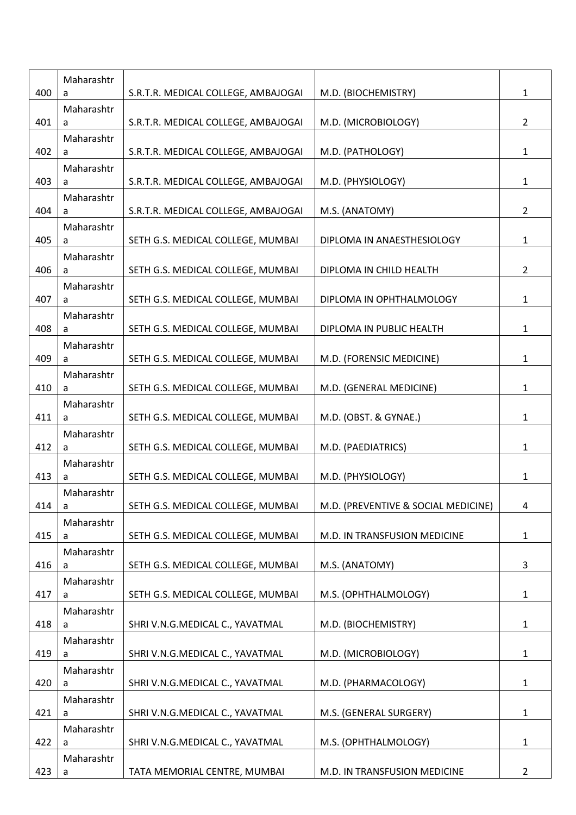|     | Maharashtr      |                                     |                                     |                |
|-----|-----------------|-------------------------------------|-------------------------------------|----------------|
| 400 | a               | S.R.T.R. MEDICAL COLLEGE, AMBAJOGAI | M.D. (BIOCHEMISTRY)                 | $\mathbf{1}$   |
|     | Maharashtr      |                                     |                                     |                |
| 401 | a<br>Maharashtr | S.R.T.R. MEDICAL COLLEGE, AMBAJOGAI | M.D. (MICROBIOLOGY)                 | $\overline{2}$ |
| 402 | a               | S.R.T.R. MEDICAL COLLEGE, AMBAJOGAI | M.D. (PATHOLOGY)                    | $\mathbf{1}$   |
|     | Maharashtr      |                                     |                                     |                |
| 403 | a               | S.R.T.R. MEDICAL COLLEGE, AMBAJOGAI | M.D. (PHYSIOLOGY)                   | $\mathbf{1}$   |
|     | Maharashtr      |                                     |                                     |                |
| 404 | a<br>Maharashtr | S.R.T.R. MEDICAL COLLEGE, AMBAJOGAI | M.S. (ANATOMY)                      | $\overline{2}$ |
| 405 | a               | SETH G.S. MEDICAL COLLEGE, MUMBAI   | DIPLOMA IN ANAESTHESIOLOGY          | $\mathbf{1}$   |
|     | Maharashtr      |                                     |                                     |                |
| 406 | a               | SETH G.S. MEDICAL COLLEGE, MUMBAI   | DIPLOMA IN CHILD HEALTH             | $\overline{2}$ |
| 407 | Maharashtr<br>a | SETH G.S. MEDICAL COLLEGE, MUMBAI   | DIPLOMA IN OPHTHALMOLOGY            | $\mathbf{1}$   |
|     | Maharashtr      |                                     |                                     |                |
| 408 | a               | SETH G.S. MEDICAL COLLEGE, MUMBAI   | DIPLOMA IN PUBLIC HEALTH            | $\mathbf{1}$   |
|     | Maharashtr      |                                     |                                     |                |
| 409 | a               | SETH G.S. MEDICAL COLLEGE, MUMBAI   | M.D. (FORENSIC MEDICINE)            | $\mathbf{1}$   |
| 410 | Maharashtr<br>a | SETH G.S. MEDICAL COLLEGE, MUMBAI   | M.D. (GENERAL MEDICINE)             | 1              |
|     | Maharashtr      |                                     |                                     |                |
| 411 | a               | SETH G.S. MEDICAL COLLEGE, MUMBAI   | M.D. (OBST. & GYNAE.)               | $\mathbf{1}$   |
|     | Maharashtr      |                                     |                                     |                |
| 412 | a               | SETH G.S. MEDICAL COLLEGE, MUMBAI   | M.D. (PAEDIATRICS)                  | $\mathbf{1}$   |
| 413 | Maharashtr<br>a | SETH G.S. MEDICAL COLLEGE, MUMBAI   | M.D. (PHYSIOLOGY)                   | $\mathbf{1}$   |
|     | Maharashtr      |                                     |                                     |                |
| 414 | a               | SETH G.S. MEDICAL COLLEGE, MUMBAI   | M.D. (PREVENTIVE & SOCIAL MEDICINE) | 4              |
|     | Maharashtr      |                                     |                                     |                |
| 415 | a               | SETH G.S. MEDICAL COLLEGE, MUMBAI   | M.D. IN TRANSFUSION MEDICINE        | $\mathbf{1}$   |
| 416 | Maharashtr<br>a | SETH G.S. MEDICAL COLLEGE, MUMBAI   | M.S. (ANATOMY)                      | 3              |
|     | Maharashtr      |                                     |                                     |                |
| 417 | a               | SETH G.S. MEDICAL COLLEGE, MUMBAI   | M.S. (OPHTHALMOLOGY)                | $\mathbf{1}$   |
|     | Maharashtr      |                                     |                                     |                |
| 418 | a               | SHRI V.N.G.MEDICAL C., YAVATMAL     | M.D. (BIOCHEMISTRY)                 | $\mathbf{1}$   |
| 419 | Maharashtr<br>a | SHRI V.N.G.MEDICAL C., YAVATMAL     | M.D. (MICROBIOLOGY)                 | $\mathbf{1}$   |
|     | Maharashtr      |                                     |                                     |                |
| 420 | a               | SHRI V.N.G.MEDICAL C., YAVATMAL     | M.D. (PHARMACOLOGY)                 | $\mathbf{1}$   |
|     | Maharashtr      |                                     |                                     |                |
| 421 | a               | SHRI V.N.G.MEDICAL C., YAVATMAL     | M.S. (GENERAL SURGERY)              | $\mathbf{1}$   |
| 422 | Maharashtr<br>a | SHRI V.N.G.MEDICAL C., YAVATMAL     | M.S. (OPHTHALMOLOGY)                | $\mathbf{1}$   |
|     | Maharashtr      |                                     |                                     |                |
| 423 | a               | TATA MEMORIAL CENTRE, MUMBAI        | M.D. IN TRANSFUSION MEDICINE        | $\overline{2}$ |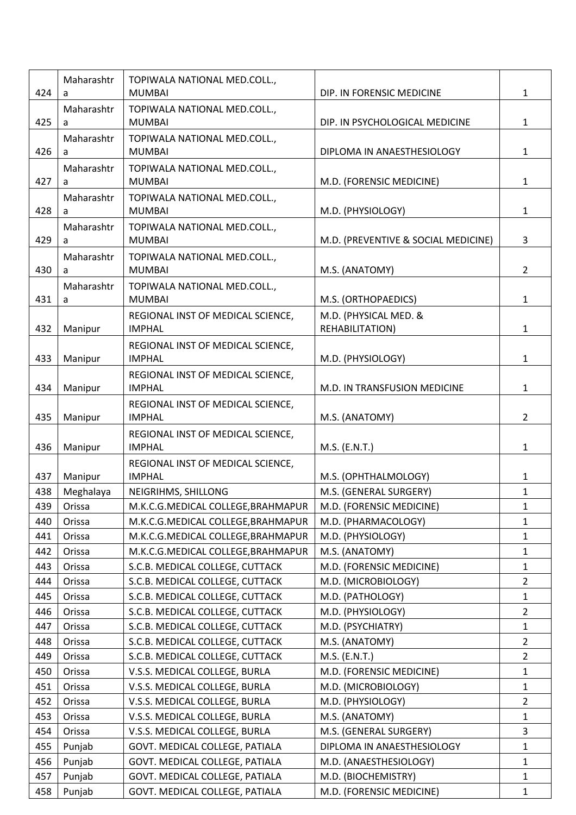|     | Maharashtr      | TOPIWALA NATIONAL MED.COLL.,                       |                                     |                |
|-----|-----------------|----------------------------------------------------|-------------------------------------|----------------|
| 424 | a               | <b>MUMBAI</b>                                      | DIP. IN FORENSIC MEDICINE           | $\mathbf{1}$   |
|     | Maharashtr      | TOPIWALA NATIONAL MED.COLL.,                       |                                     |                |
| 425 | a               | <b>MUMBAI</b>                                      | DIP. IN PSYCHOLOGICAL MEDICINE      | $\mathbf{1}$   |
|     | Maharashtr      | TOPIWALA NATIONAL MED.COLL.,                       |                                     |                |
| 426 | a               | <b>MUMBAI</b>                                      | DIPLOMA IN ANAESTHESIOLOGY          | $\mathbf{1}$   |
| 427 | Maharashtr<br>a | TOPIWALA NATIONAL MED.COLL.,<br><b>MUMBAI</b>      | M.D. (FORENSIC MEDICINE)            | $\mathbf{1}$   |
|     | Maharashtr      | TOPIWALA NATIONAL MED.COLL.,                       |                                     |                |
| 428 | a               | <b>MUMBAI</b>                                      | M.D. (PHYSIOLOGY)                   | $\mathbf{1}$   |
|     | Maharashtr      | TOPIWALA NATIONAL MED.COLL.,                       |                                     |                |
| 429 | a               | <b>MUMBAI</b>                                      | M.D. (PREVENTIVE & SOCIAL MEDICINE) | 3              |
|     | Maharashtr      | TOPIWALA NATIONAL MED.COLL.,                       |                                     |                |
| 430 | a               | <b>MUMBAI</b>                                      | M.S. (ANATOMY)                      | $\overline{2}$ |
|     | Maharashtr      | TOPIWALA NATIONAL MED.COLL.,                       |                                     |                |
| 431 | a               | <b>MUMBAI</b>                                      | M.S. (ORTHOPAEDICS)                 | $\mathbf{1}$   |
|     |                 | REGIONAL INST OF MEDICAL SCIENCE,                  | M.D. (PHYSICAL MED. &               |                |
| 432 | Manipur         | <b>IMPHAL</b>                                      | REHABILITATION)                     | $\mathbf{1}$   |
|     |                 | REGIONAL INST OF MEDICAL SCIENCE,                  |                                     |                |
| 433 | Manipur         | <b>IMPHAL</b>                                      | M.D. (PHYSIOLOGY)                   | $\mathbf{1}$   |
|     |                 | REGIONAL INST OF MEDICAL SCIENCE,                  |                                     |                |
| 434 | Manipur         | <b>IMPHAL</b>                                      | M.D. IN TRANSFUSION MEDICINE        | $\mathbf{1}$   |
| 435 | Manipur         | REGIONAL INST OF MEDICAL SCIENCE,<br><b>IMPHAL</b> | M.S. (ANATOMY)                      | $\overline{2}$ |
|     |                 | REGIONAL INST OF MEDICAL SCIENCE,                  |                                     |                |
| 436 | Manipur         | <b>IMPHAL</b>                                      | M.S. (E.N.T.)                       | $\mathbf{1}$   |
|     |                 | REGIONAL INST OF MEDICAL SCIENCE,                  |                                     |                |
| 437 | Manipur         | <b>IMPHAL</b>                                      | M.S. (OPHTHALMOLOGY)                | $\mathbf{1}$   |
| 438 | Meghalaya       | NEIGRIHMS, SHILLONG                                | M.S. (GENERAL SURGERY)              | $\mathbf{1}$   |
| 439 | Orissa          | M.K.C.G.MEDICAL COLLEGE, BRAHMAPUR                 | M.D. (FORENSIC MEDICINE)            | 1              |
| 440 | Orissa          | M.K.C.G.MEDICAL COLLEGE, BRAHMAPUR                 | M.D. (PHARMACOLOGY)                 | $\mathbf{1}$   |
| 441 | Orissa          | M.K.C.G.MEDICAL COLLEGE, BRAHMAPUR                 | M.D. (PHYSIOLOGY)                   | $\mathbf{1}$   |
| 442 | Orissa          | M.K.C.G.MEDICAL COLLEGE, BRAHMAPUR                 | M.S. (ANATOMY)                      | $\mathbf{1}$   |
| 443 | Orissa          | S.C.B. MEDICAL COLLEGE, CUTTACK                    | M.D. (FORENSIC MEDICINE)            | $\mathbf{1}$   |
| 444 | Orissa          | S.C.B. MEDICAL COLLEGE, CUTTACK                    | M.D. (MICROBIOLOGY)                 | $\overline{2}$ |
| 445 | Orissa          | S.C.B. MEDICAL COLLEGE, CUTTACK                    | M.D. (PATHOLOGY)                    | $\mathbf{1}$   |
| 446 | Orissa          | S.C.B. MEDICAL COLLEGE, CUTTACK                    | M.D. (PHYSIOLOGY)                   | $\overline{2}$ |
| 447 | Orissa          | S.C.B. MEDICAL COLLEGE, CUTTACK                    | M.D. (PSYCHIATRY)                   | $\mathbf{1}$   |
| 448 | Orissa          | S.C.B. MEDICAL COLLEGE, CUTTACK                    | M.S. (ANATOMY)                      | $\overline{2}$ |
| 449 | Orissa          | S.C.B. MEDICAL COLLEGE, CUTTACK                    | M.S. (E.N.T.)                       | $\overline{2}$ |
| 450 | Orissa          | V.S.S. MEDICAL COLLEGE, BURLA                      | M.D. (FORENSIC MEDICINE)            | $\mathbf{1}$   |
| 451 | Orissa          | V.S.S. MEDICAL COLLEGE, BURLA                      | M.D. (MICROBIOLOGY)                 | $\mathbf{1}$   |
| 452 | Orissa          | V.S.S. MEDICAL COLLEGE, BURLA                      | M.D. (PHYSIOLOGY)                   | $\overline{2}$ |
| 453 | Orissa          | V.S.S. MEDICAL COLLEGE, BURLA                      | M.S. (ANATOMY)                      | $\mathbf{1}$   |
| 454 | Orissa          | V.S.S. MEDICAL COLLEGE, BURLA                      | M.S. (GENERAL SURGERY)              | $\overline{3}$ |
| 455 | Punjab          | GOVT. MEDICAL COLLEGE, PATIALA                     | DIPLOMA IN ANAESTHESIOLOGY          | $\mathbf{1}$   |
| 456 | Punjab          | GOVT. MEDICAL COLLEGE, PATIALA                     | M.D. (ANAESTHESIOLOGY)              | $\mathbf{1}$   |
| 457 | Punjab          | GOVT. MEDICAL COLLEGE, PATIALA                     | M.D. (BIOCHEMISTRY)                 | $\mathbf{1}$   |
| 458 | Punjab          | GOVT. MEDICAL COLLEGE, PATIALA                     | M.D. (FORENSIC MEDICINE)            | $\mathbf{1}$   |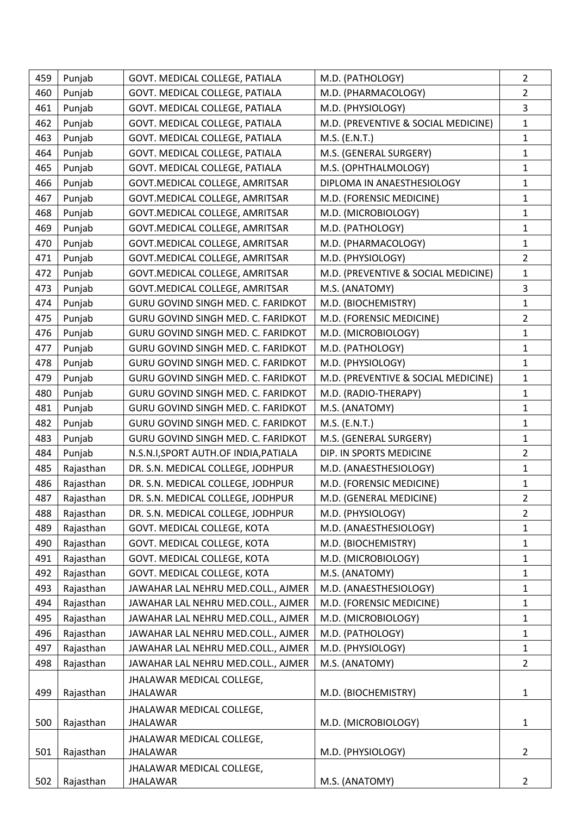| 459 | Punjab    | GOVT. MEDICAL COLLEGE, PATIALA        | M.D. (PATHOLOGY)                    | $\overline{2}$ |
|-----|-----------|---------------------------------------|-------------------------------------|----------------|
| 460 | Punjab    | GOVT. MEDICAL COLLEGE, PATIALA        | M.D. (PHARMACOLOGY)                 | $\overline{2}$ |
| 461 | Punjab    | GOVT. MEDICAL COLLEGE, PATIALA        | M.D. (PHYSIOLOGY)                   | 3              |
| 462 | Punjab    | GOVT. MEDICAL COLLEGE, PATIALA        | M.D. (PREVENTIVE & SOCIAL MEDICINE) | $\mathbf{1}$   |
| 463 | Punjab    | GOVT. MEDICAL COLLEGE, PATIALA        | M.S. (E.N.T.)                       | $\mathbf{1}$   |
| 464 | Punjab    | GOVT. MEDICAL COLLEGE, PATIALA        | M.S. (GENERAL SURGERY)              | $\mathbf{1}$   |
| 465 | Punjab    | GOVT. MEDICAL COLLEGE, PATIALA        | M.S. (OPHTHALMOLOGY)                | $\mathbf{1}$   |
| 466 | Punjab    | GOVT.MEDICAL COLLEGE, AMRITSAR        | DIPLOMA IN ANAESTHESIOLOGY          | 1              |
| 467 | Punjab    | GOVT.MEDICAL COLLEGE, AMRITSAR        | M.D. (FORENSIC MEDICINE)            | $\mathbf{1}$   |
| 468 | Punjab    | GOVT.MEDICAL COLLEGE, AMRITSAR        | M.D. (MICROBIOLOGY)                 | $\mathbf{1}$   |
| 469 | Punjab    | GOVT. MEDICAL COLLEGE, AMRITSAR       | M.D. (PATHOLOGY)                    | $\mathbf{1}$   |
| 470 | Punjab    | GOVT.MEDICAL COLLEGE, AMRITSAR        | M.D. (PHARMACOLOGY)                 | $\mathbf{1}$   |
| 471 | Punjab    | GOVT.MEDICAL COLLEGE, AMRITSAR        | M.D. (PHYSIOLOGY)                   | $\overline{2}$ |
| 472 | Punjab    | GOVT. MEDICAL COLLEGE, AMRITSAR       | M.D. (PREVENTIVE & SOCIAL MEDICINE) | $\mathbf{1}$   |
| 473 | Punjab    | GOVT.MEDICAL COLLEGE, AMRITSAR        | M.S. (ANATOMY)                      | 3              |
| 474 | Punjab    | GURU GOVIND SINGH MED. C. FARIDKOT    | M.D. (BIOCHEMISTRY)                 | $\mathbf{1}$   |
| 475 | Punjab    | GURU GOVIND SINGH MED. C. FARIDKOT    | M.D. (FORENSIC MEDICINE)            | $\overline{2}$ |
| 476 | Punjab    | GURU GOVIND SINGH MED. C. FARIDKOT    | M.D. (MICROBIOLOGY)                 | $\mathbf{1}$   |
| 477 | Punjab    | GURU GOVIND SINGH MED. C. FARIDKOT    | M.D. (PATHOLOGY)                    | $\mathbf{1}$   |
| 478 | Punjab    | GURU GOVIND SINGH MED. C. FARIDKOT    | M.D. (PHYSIOLOGY)                   | $\mathbf{1}$   |
| 479 | Punjab    | GURU GOVIND SINGH MED. C. FARIDKOT    | M.D. (PREVENTIVE & SOCIAL MEDICINE) | $\mathbf{1}$   |
| 480 | Punjab    | GURU GOVIND SINGH MED. C. FARIDKOT    | M.D. (RADIO-THERAPY)                | $\mathbf{1}$   |
| 481 | Punjab    | GURU GOVIND SINGH MED. C. FARIDKOT    | M.S. (ANATOMY)                      | $\mathbf{1}$   |
| 482 | Punjab    | GURU GOVIND SINGH MED. C. FARIDKOT    | M.S. (E.N.T.)                       | $\mathbf{1}$   |
| 483 | Punjab    | GURU GOVIND SINGH MED. C. FARIDKOT    | M.S. (GENERAL SURGERY)              | 1              |
| 484 | Punjab    | N.S.N.I, SPORT AUTH.OF INDIA, PATIALA | DIP. IN SPORTS MEDICINE             | $\overline{2}$ |
| 485 | Rajasthan | DR. S.N. MEDICAL COLLEGE, JODHPUR     | M.D. (ANAESTHESIOLOGY)              | $\mathbf{1}$   |
| 486 | Rajasthan | DR. S.N. MEDICAL COLLEGE, JODHPUR     | M.D. (FORENSIC MEDICINE)            | 1              |
| 487 | Rajasthan | DR. S.N. MEDICAL COLLEGE, JODHPUR     | M.D. (GENERAL MEDICINE)             | $\overline{2}$ |
| 488 | Rajasthan | DR. S.N. MEDICAL COLLEGE, JODHPUR     | M.D. (PHYSIOLOGY)                   | $\overline{2}$ |
| 489 | Rajasthan | GOVT. MEDICAL COLLEGE, KOTA           | M.D. (ANAESTHESIOLOGY)              | $\mathbf{1}$   |
| 490 | Rajasthan | GOVT. MEDICAL COLLEGE, KOTA           | M.D. (BIOCHEMISTRY)                 | $\mathbf{1}$   |
| 491 | Rajasthan | GOVT. MEDICAL COLLEGE, KOTA           | M.D. (MICROBIOLOGY)                 | $\mathbf{1}$   |
| 492 | Rajasthan | GOVT. MEDICAL COLLEGE, KOTA           | M.S. (ANATOMY)                      | $\mathbf{1}$   |
| 493 | Rajasthan | JAWAHAR LAL NEHRU MED.COLL., AJMER    | M.D. (ANAESTHESIOLOGY)              | $\mathbf{1}$   |
| 494 | Rajasthan | JAWAHAR LAL NEHRU MED.COLL., AJMER    | M.D. (FORENSIC MEDICINE)            | $\mathbf{1}$   |
| 495 | Rajasthan | JAWAHAR LAL NEHRU MED.COLL., AJMER    | M.D. (MICROBIOLOGY)                 | 1              |
| 496 | Rajasthan | JAWAHAR LAL NEHRU MED.COLL., AJMER    | M.D. (PATHOLOGY)                    | $\mathbf{1}$   |
| 497 | Rajasthan | JAWAHAR LAL NEHRU MED.COLL., AJMER    | M.D. (PHYSIOLOGY)                   | $\mathbf{1}$   |
| 498 | Rajasthan | JAWAHAR LAL NEHRU MED.COLL., AJMER    | M.S. (ANATOMY)                      | $\overline{2}$ |
|     |           | JHALAWAR MEDICAL COLLEGE,             |                                     |                |
| 499 | Rajasthan | <b>JHALAWAR</b>                       | M.D. (BIOCHEMISTRY)                 | 1              |
|     |           | JHALAWAR MEDICAL COLLEGE,             |                                     |                |
| 500 | Rajasthan | <b>JHALAWAR</b>                       | M.D. (MICROBIOLOGY)                 | $\mathbf{1}$   |
|     |           | JHALAWAR MEDICAL COLLEGE,             |                                     |                |
| 501 | Rajasthan | <b>JHALAWAR</b>                       | M.D. (PHYSIOLOGY)                   | $\overline{2}$ |
|     |           | JHALAWAR MEDICAL COLLEGE,             |                                     |                |
| 502 | Rajasthan | <b>JHALAWAR</b>                       | M.S. (ANATOMY)                      | $\overline{2}$ |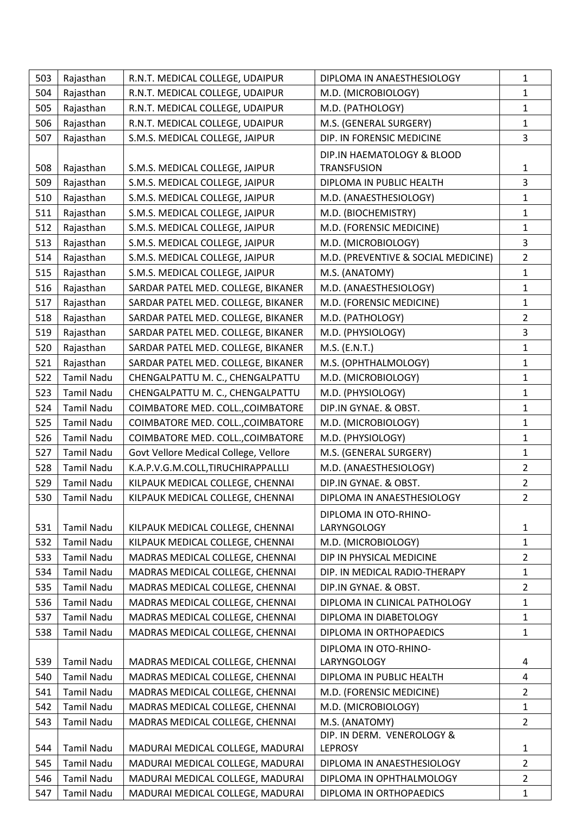| 503 | Rajasthan         | R.N.T. MEDICAL COLLEGE, UDAIPUR       | DIPLOMA IN ANAESTHESIOLOGY                   | $\mathbf{1}$   |
|-----|-------------------|---------------------------------------|----------------------------------------------|----------------|
| 504 | Rajasthan         | R.N.T. MEDICAL COLLEGE, UDAIPUR       | M.D. (MICROBIOLOGY)                          | $\mathbf{1}$   |
| 505 | Rajasthan         | R.N.T. MEDICAL COLLEGE, UDAIPUR       | M.D. (PATHOLOGY)                             | $\mathbf{1}$   |
| 506 | Rajasthan         | R.N.T. MEDICAL COLLEGE, UDAIPUR       | M.S. (GENERAL SURGERY)                       | $\mathbf{1}$   |
| 507 | Rajasthan         | S.M.S. MEDICAL COLLEGE, JAIPUR        | DIP. IN FORENSIC MEDICINE                    | $\overline{3}$ |
|     |                   |                                       | DIP.IN HAEMATOLOGY & BLOOD                   |                |
| 508 | Rajasthan         | S.M.S. MEDICAL COLLEGE, JAIPUR        | <b>TRANSFUSION</b>                           | $\mathbf{1}$   |
| 509 | Rajasthan         | S.M.S. MEDICAL COLLEGE, JAIPUR        | DIPLOMA IN PUBLIC HEALTH                     | $\overline{3}$ |
| 510 | Rajasthan         | S.M.S. MEDICAL COLLEGE, JAIPUR        | M.D. (ANAESTHESIOLOGY)                       | $\mathbf{1}$   |
| 511 | Rajasthan         | S.M.S. MEDICAL COLLEGE, JAIPUR        | M.D. (BIOCHEMISTRY)                          | $\mathbf{1}$   |
| 512 | Rajasthan         | S.M.S. MEDICAL COLLEGE, JAIPUR        | M.D. (FORENSIC MEDICINE)                     | $\mathbf{1}$   |
| 513 | Rajasthan         | S.M.S. MEDICAL COLLEGE, JAIPUR        | M.D. (MICROBIOLOGY)                          | $\overline{3}$ |
| 514 | Rajasthan         | S.M.S. MEDICAL COLLEGE, JAIPUR        | M.D. (PREVENTIVE & SOCIAL MEDICINE)          | $\overline{2}$ |
| 515 | Rajasthan         | S.M.S. MEDICAL COLLEGE, JAIPUR        | M.S. (ANATOMY)                               | $\mathbf{1}$   |
| 516 | Rajasthan         | SARDAR PATEL MED. COLLEGE, BIKANER    | M.D. (ANAESTHESIOLOGY)                       | $\mathbf{1}$   |
| 517 | Rajasthan         | SARDAR PATEL MED. COLLEGE, BIKANER    | M.D. (FORENSIC MEDICINE)                     | $\mathbf 1$    |
| 518 | Rajasthan         | SARDAR PATEL MED. COLLEGE, BIKANER    | M.D. (PATHOLOGY)                             | $\overline{2}$ |
| 519 | Rajasthan         | SARDAR PATEL MED. COLLEGE, BIKANER    | M.D. (PHYSIOLOGY)                            | 3              |
| 520 | Rajasthan         | SARDAR PATEL MED. COLLEGE, BIKANER    | M.S. (E.N.T.)                                | $\mathbf{1}$   |
| 521 | Rajasthan         | SARDAR PATEL MED. COLLEGE, BIKANER    | M.S. (OPHTHALMOLOGY)                         | $\mathbf{1}$   |
| 522 | <b>Tamil Nadu</b> | CHENGALPATTU M. C., CHENGALPATTU      | M.D. (MICROBIOLOGY)                          | $\mathbf{1}$   |
| 523 | <b>Tamil Nadu</b> | CHENGALPATTU M. C., CHENGALPATTU      | M.D. (PHYSIOLOGY)                            | $\mathbf 1$    |
| 524 | <b>Tamil Nadu</b> | COIMBATORE MED. COLL., COIMBATORE     | DIP.IN GYNAE. & OBST.                        | $\mathbf{1}$   |
| 525 | <b>Tamil Nadu</b> | COIMBATORE MED. COLL., COIMBATORE     | M.D. (MICROBIOLOGY)                          | $\mathbf{1}$   |
| 526 | <b>Tamil Nadu</b> | COIMBATORE MED. COLL., COIMBATORE     | M.D. (PHYSIOLOGY)                            | $\mathbf{1}$   |
| 527 | <b>Tamil Nadu</b> | Govt Vellore Medical College, Vellore | M.S. (GENERAL SURGERY)                       | $\mathbf{1}$   |
| 528 | <b>Tamil Nadu</b> | K.A.P.V.G.M.COLL,TIRUCHIRAPPALLLI     | M.D. (ANAESTHESIOLOGY)                       | $\overline{2}$ |
| 529 | <b>Tamil Nadu</b> | KILPAUK MEDICAL COLLEGE, CHENNAI      | DIP.IN GYNAE. & OBST.                        | $\overline{2}$ |
| 530 | <b>Tamil Nadu</b> | KILPAUK MEDICAL COLLEGE, CHENNAI      | DIPLOMA IN ANAESTHESIOLOGY                   | $\overline{2}$ |
|     |                   |                                       | DIPLOMA IN OTO-RHINO-                        |                |
| 531 | <b>Tamil Nadu</b> | KILPAUK MEDICAL COLLEGE, CHENNAI      | LARYNGOLOGY                                  | $\mathbf{1}$   |
| 532 | <b>Tamil Nadu</b> | KILPAUK MEDICAL COLLEGE, CHENNAI      | M.D. (MICROBIOLOGY)                          | $\mathbf 1$    |
| 533 | <b>Tamil Nadu</b> | MADRAS MEDICAL COLLEGE, CHENNAI       | DIP IN PHYSICAL MEDICINE                     | $\overline{2}$ |
| 534 | <b>Tamil Nadu</b> | MADRAS MEDICAL COLLEGE, CHENNAI       | DIP. IN MEDICAL RADIO-THERAPY                | $\mathbf{1}$   |
| 535 | <b>Tamil Nadu</b> | MADRAS MEDICAL COLLEGE, CHENNAI       | DIP.IN GYNAE. & OBST.                        | $\overline{2}$ |
| 536 | <b>Tamil Nadu</b> | MADRAS MEDICAL COLLEGE, CHENNAI       | DIPLOMA IN CLINICAL PATHOLOGY                | $\mathbf{1}$   |
| 537 | <b>Tamil Nadu</b> | MADRAS MEDICAL COLLEGE, CHENNAI       | DIPLOMA IN DIABETOLOGY                       | $\mathbf{1}$   |
| 538 | <b>Tamil Nadu</b> | MADRAS MEDICAL COLLEGE, CHENNAI       | DIPLOMA IN ORTHOPAEDICS                      | $\mathbf{1}$   |
|     |                   |                                       | DIPLOMA IN OTO-RHINO-                        |                |
| 539 | <b>Tamil Nadu</b> | MADRAS MEDICAL COLLEGE, CHENNAI       | LARYNGOLOGY                                  | 4              |
| 540 | <b>Tamil Nadu</b> | MADRAS MEDICAL COLLEGE, CHENNAI       | DIPLOMA IN PUBLIC HEALTH                     | $\overline{4}$ |
| 541 | <b>Tamil Nadu</b> | MADRAS MEDICAL COLLEGE, CHENNAI       | M.D. (FORENSIC MEDICINE)                     | $\overline{2}$ |
| 542 | <b>Tamil Nadu</b> | MADRAS MEDICAL COLLEGE, CHENNAI       | M.D. (MICROBIOLOGY)                          | $\mathbf{1}$   |
| 543 | <b>Tamil Nadu</b> | MADRAS MEDICAL COLLEGE, CHENNAI       | M.S. (ANATOMY)<br>DIP. IN DERM. VENEROLOGY & | $\overline{2}$ |
| 544 | <b>Tamil Nadu</b> | MADURAI MEDICAL COLLEGE, MADURAI      | <b>LEPROSY</b>                               | $\mathbf{1}$   |
| 545 | <b>Tamil Nadu</b> | MADURAI MEDICAL COLLEGE, MADURAI      | DIPLOMA IN ANAESTHESIOLOGY                   | $\overline{2}$ |
| 546 | <b>Tamil Nadu</b> | MADURAI MEDICAL COLLEGE, MADURAI      | DIPLOMA IN OPHTHALMOLOGY                     | $\overline{2}$ |
| 547 | <b>Tamil Nadu</b> | MADURAI MEDICAL COLLEGE, MADURAI      | DIPLOMA IN ORTHOPAEDICS                      | $\mathbf{1}$   |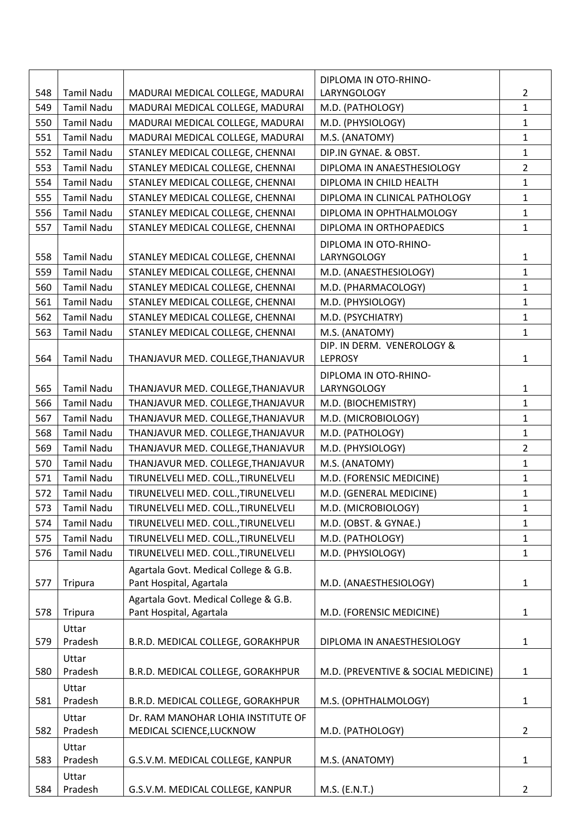|     |                   |                                                                  | DIPLOMA IN OTO-RHINO-               |                |
|-----|-------------------|------------------------------------------------------------------|-------------------------------------|----------------|
| 548 | <b>Tamil Nadu</b> | MADURAI MEDICAL COLLEGE, MADURAI                                 | LARYNGOLOGY                         | $\overline{2}$ |
| 549 | <b>Tamil Nadu</b> | MADURAI MEDICAL COLLEGE, MADURAI                                 | M.D. (PATHOLOGY)                    | $\mathbf{1}$   |
| 550 | <b>Tamil Nadu</b> | MADURAI MEDICAL COLLEGE, MADURAI                                 | M.D. (PHYSIOLOGY)                   | $\mathbf{1}$   |
| 551 | <b>Tamil Nadu</b> | MADURAI MEDICAL COLLEGE, MADURAI                                 | M.S. (ANATOMY)                      | $\mathbf{1}$   |
| 552 | <b>Tamil Nadu</b> | STANLEY MEDICAL COLLEGE, CHENNAI                                 | DIP.IN GYNAE. & OBST.               | $\mathbf{1}$   |
| 553 | <b>Tamil Nadu</b> | STANLEY MEDICAL COLLEGE, CHENNAI                                 | DIPLOMA IN ANAESTHESIOLOGY          | $\overline{2}$ |
| 554 | <b>Tamil Nadu</b> | STANLEY MEDICAL COLLEGE, CHENNAI                                 | DIPLOMA IN CHILD HEALTH             | $\mathbf{1}$   |
| 555 | <b>Tamil Nadu</b> | STANLEY MEDICAL COLLEGE, CHENNAI                                 | DIPLOMA IN CLINICAL PATHOLOGY       | $\mathbf{1}$   |
| 556 | <b>Tamil Nadu</b> | STANLEY MEDICAL COLLEGE, CHENNAI                                 | DIPLOMA IN OPHTHALMOLOGY            | $\mathbf{1}$   |
| 557 | <b>Tamil Nadu</b> | STANLEY MEDICAL COLLEGE, CHENNAI                                 | DIPLOMA IN ORTHOPAEDICS             | $\mathbf{1}$   |
|     |                   |                                                                  | DIPLOMA IN OTO-RHINO-               |                |
| 558 | <b>Tamil Nadu</b> | STANLEY MEDICAL COLLEGE, CHENNAI                                 | LARYNGOLOGY                         | $\mathbf{1}$   |
| 559 | <b>Tamil Nadu</b> | STANLEY MEDICAL COLLEGE, CHENNAI                                 | M.D. (ANAESTHESIOLOGY)              | $\mathbf{1}$   |
| 560 | <b>Tamil Nadu</b> | STANLEY MEDICAL COLLEGE, CHENNAI                                 | M.D. (PHARMACOLOGY)                 | $\mathbf{1}$   |
| 561 | <b>Tamil Nadu</b> | STANLEY MEDICAL COLLEGE, CHENNAI                                 | M.D. (PHYSIOLOGY)                   | $\mathbf{1}$   |
| 562 | <b>Tamil Nadu</b> | STANLEY MEDICAL COLLEGE, CHENNAI                                 | M.D. (PSYCHIATRY)                   | $\mathbf{1}$   |
| 563 | <b>Tamil Nadu</b> | STANLEY MEDICAL COLLEGE, CHENNAI                                 | M.S. (ANATOMY)                      | $\mathbf{1}$   |
|     |                   |                                                                  | DIP. IN DERM. VENEROLOGY &          |                |
| 564 | <b>Tamil Nadu</b> | THANJAVUR MED. COLLEGE, THANJAVUR                                | <b>LEPROSY</b>                      | $\mathbf{1}$   |
|     |                   |                                                                  | DIPLOMA IN OTO-RHINO-               |                |
| 565 | <b>Tamil Nadu</b> | THANJAVUR MED. COLLEGE, THANJAVUR                                | LARYNGOLOGY                         | 1              |
| 566 | <b>Tamil Nadu</b> | THANJAVUR MED. COLLEGE, THANJAVUR                                | M.D. (BIOCHEMISTRY)                 | $\mathbf{1}$   |
| 567 | <b>Tamil Nadu</b> | THANJAVUR MED. COLLEGE, THANJAVUR                                | M.D. (MICROBIOLOGY)                 | $\mathbf{1}$   |
| 568 | <b>Tamil Nadu</b> | THANJAVUR MED. COLLEGE, THANJAVUR                                | M.D. (PATHOLOGY)                    | $\mathbf{1}$   |
| 569 | <b>Tamil Nadu</b> | THANJAVUR MED. COLLEGE, THANJAVUR                                | M.D. (PHYSIOLOGY)                   | $\overline{2}$ |
| 570 | <b>Tamil Nadu</b> | THANJAVUR MED. COLLEGE, THANJAVUR                                | M.S. (ANATOMY)                      | $\mathbf{1}$   |
| 571 | <b>Tamil Nadu</b> | TIRUNELVELI MED. COLL., TIRUNELVELI                              | M.D. (FORENSIC MEDICINE)            | $\mathbf{1}$   |
| 572 | <b>Tamil Nadu</b> | TIRUNELVELI MED. COLL., TIRUNELVELI                              | M.D. (GENERAL MEDICINE)             | $\mathbf{1}$   |
| 573 | <b>Tamil Nadu</b> | TIRUNELVELI MED. COLL., TIRUNELVELI                              | M.D. (MICROBIOLOGY)                 | 1              |
| 574 | <b>Tamil Nadu</b> | TIRUNELVELI MED. COLL., TIRUNELVELI                              | M.D. (OBST. & GYNAE.)               | $\mathbf{1}$   |
| 575 | <b>Tamil Nadu</b> | TIRUNELVELI MED. COLL., TIRUNELVELI                              | M.D. (PATHOLOGY)                    | $\mathbf{1}$   |
| 576 | <b>Tamil Nadu</b> | TIRUNELVELI MED. COLL., TIRUNELVELI                              | M.D. (PHYSIOLOGY)                   | 1              |
| 577 | <b>Tripura</b>    | Agartala Govt. Medical College & G.B.<br>Pant Hospital, Agartala | M.D. (ANAESTHESIOLOGY)              | $\mathbf{1}$   |
| 578 | <b>Tripura</b>    | Agartala Govt. Medical College & G.B.<br>Pant Hospital, Agartala | M.D. (FORENSIC MEDICINE)            | 1              |
|     | Uttar             |                                                                  |                                     |                |
| 579 | Pradesh           | B.R.D. MEDICAL COLLEGE, GORAKHPUR                                | DIPLOMA IN ANAESTHESIOLOGY          | $\mathbf{1}$   |
| 580 | Uttar<br>Pradesh  | B.R.D. MEDICAL COLLEGE, GORAKHPUR                                | M.D. (PREVENTIVE & SOCIAL MEDICINE) | $\mathbf{1}$   |
|     | Uttar             |                                                                  |                                     |                |
| 581 | Pradesh           | B.R.D. MEDICAL COLLEGE, GORAKHPUR                                | M.S. (OPHTHALMOLOGY)                | 1              |
| 582 | Uttar<br>Pradesh  | Dr. RAM MANOHAR LOHIA INSTITUTE OF<br>MEDICAL SCIENCE, LUCKNOW   | M.D. (PATHOLOGY)                    | $\overline{2}$ |
| 583 | Uttar<br>Pradesh  | G.S.V.M. MEDICAL COLLEGE, KANPUR                                 | M.S. (ANATOMY)                      | 1              |
|     | Uttar             |                                                                  |                                     |                |
| 584 | Pradesh           | G.S.V.M. MEDICAL COLLEGE, KANPUR                                 | M.S. (E.N.T.)                       | $\overline{2}$ |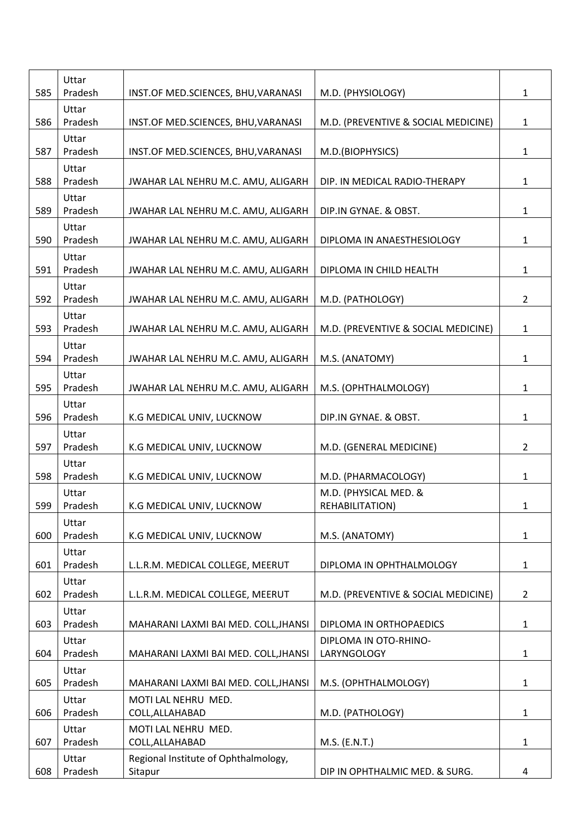| 585 | Uttar<br>Pradesh | INST.OF MED.SCIENCES, BHU, VARANASI             | M.D. (PHYSIOLOGY)                        | $\mathbf{1}$   |
|-----|------------------|-------------------------------------------------|------------------------------------------|----------------|
| 586 | Uttar<br>Pradesh | INST.OF MED.SCIENCES, BHU, VARANASI             | M.D. (PREVENTIVE & SOCIAL MEDICINE)      | $\mathbf{1}$   |
| 587 | Uttar<br>Pradesh | INST.OF MED.SCIENCES, BHU, VARANASI             | M.D.(BIOPHYSICS)                         | $\mathbf{1}$   |
| 588 | Uttar<br>Pradesh | JWAHAR LAL NEHRU M.C. AMU, ALIGARH              | DIP. IN MEDICAL RADIO-THERAPY            | $\mathbf{1}$   |
| 589 | Uttar<br>Pradesh | JWAHAR LAL NEHRU M.C. AMU, ALIGARH              | DIP.IN GYNAE. & OBST.                    | $\mathbf{1}$   |
| 590 | Uttar<br>Pradesh | JWAHAR LAL NEHRU M.C. AMU, ALIGARH              | DIPLOMA IN ANAESTHESIOLOGY               | $\mathbf{1}$   |
| 591 | Uttar<br>Pradesh | JWAHAR LAL NEHRU M.C. AMU, ALIGARH              | DIPLOMA IN CHILD HEALTH                  | $\mathbf{1}$   |
| 592 | Uttar<br>Pradesh | JWAHAR LAL NEHRU M.C. AMU, ALIGARH              | M.D. (PATHOLOGY)                         | $\overline{2}$ |
| 593 | Uttar<br>Pradesh | JWAHAR LAL NEHRU M.C. AMU, ALIGARH              | M.D. (PREVENTIVE & SOCIAL MEDICINE)      | $\mathbf{1}$   |
| 594 | Uttar<br>Pradesh | JWAHAR LAL NEHRU M.C. AMU, ALIGARH              | M.S. (ANATOMY)                           | $\mathbf{1}$   |
| 595 | Uttar<br>Pradesh | JWAHAR LAL NEHRU M.C. AMU, ALIGARH              | M.S. (OPHTHALMOLOGY)                     | $\mathbf{1}$   |
| 596 | Uttar<br>Pradesh | K.G MEDICAL UNIV, LUCKNOW                       | DIP.IN GYNAE. & OBST.                    | $\mathbf{1}$   |
| 597 | Uttar<br>Pradesh | K.G MEDICAL UNIV, LUCKNOW                       | M.D. (GENERAL MEDICINE)                  | $\overline{2}$ |
| 598 | Uttar<br>Pradesh | K.G MEDICAL UNIV, LUCKNOW                       | M.D. (PHARMACOLOGY)                      | $\mathbf{1}$   |
| 599 | Uttar<br>Pradesh | K.G MEDICAL UNIV, LUCKNOW                       | M.D. (PHYSICAL MED. &<br>REHABILITATION) | 1              |
| 600 | Uttar<br>Pradesh | K.G MEDICAL UNIV, LUCKNOW                       | M.S. (ANATOMY)                           | $\mathbf{1}$   |
| 601 | Uttar<br>Pradesh | L.L.R.M. MEDICAL COLLEGE, MEERUT                | DIPLOMA IN OPHTHALMOLOGY                 | $\mathbf{1}$   |
| 602 | Uttar<br>Pradesh | L.L.R.M. MEDICAL COLLEGE, MEERUT                | M.D. (PREVENTIVE & SOCIAL MEDICINE)      | $\overline{2}$ |
| 603 | Uttar<br>Pradesh | MAHARANI LAXMI BAI MED. COLL, JHANSI            | DIPLOMA IN ORTHOPAEDICS                  | $\mathbf{1}$   |
| 604 | Uttar<br>Pradesh | MAHARANI LAXMI BAI MED. COLL, JHANSI            | DIPLOMA IN OTO-RHINO-<br>LARYNGOLOGY     | $\mathbf{1}$   |
| 605 | Uttar<br>Pradesh | MAHARANI LAXMI BAI MED. COLL, JHANSI            | M.S. (OPHTHALMOLOGY)                     | $\mathbf{1}$   |
| 606 | Uttar<br>Pradesh | MOTI LAL NEHRU MED.<br>COLL, ALLAHABAD          | M.D. (PATHOLOGY)                         | $\mathbf{1}$   |
| 607 | Uttar<br>Pradesh | MOTI LAL NEHRU MED.<br>COLL, ALLAHABAD          | M.S. (E.N.T.)                            | $\mathbf{1}$   |
| 608 | Uttar<br>Pradesh | Regional Institute of Ophthalmology,<br>Sitapur | DIP IN OPHTHALMIC MED. & SURG.           | 4              |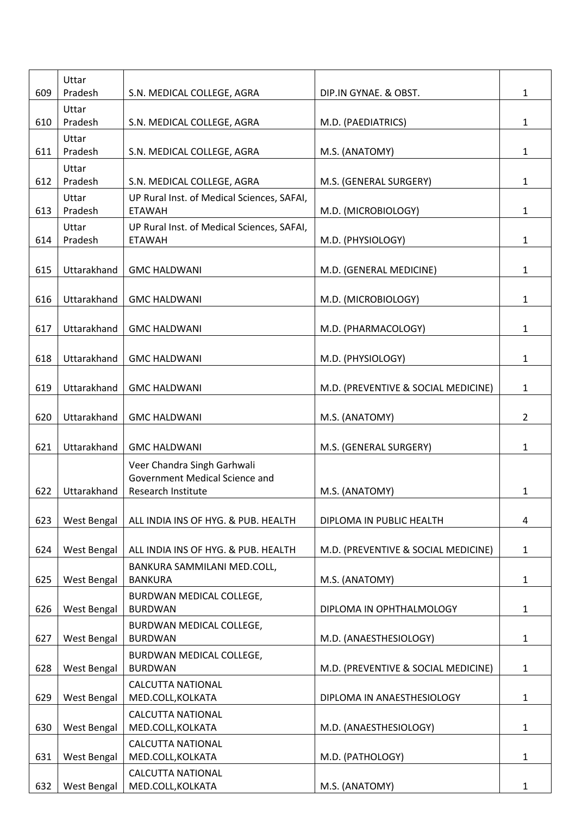| 609 | Uttar<br>Pradesh   | S.N. MEDICAL COLLEGE, AGRA                    | DIP.IN GYNAE. & OBST.               | 1              |
|-----|--------------------|-----------------------------------------------|-------------------------------------|----------------|
|     | Uttar              |                                               |                                     |                |
| 610 | Pradesh            | S.N. MEDICAL COLLEGE, AGRA                    | M.D. (PAEDIATRICS)                  | 1              |
| 611 | Uttar<br>Pradesh   | S.N. MEDICAL COLLEGE, AGRA                    | M.S. (ANATOMY)                      | $\mathbf{1}$   |
|     | Uttar              |                                               |                                     |                |
| 612 | Pradesh            | S.N. MEDICAL COLLEGE, AGRA                    | M.S. (GENERAL SURGERY)              | $\mathbf{1}$   |
|     | Uttar              | UP Rural Inst. of Medical Sciences, SAFAI,    |                                     |                |
| 613 | Pradesh            | <b>ETAWAH</b>                                 | M.D. (MICROBIOLOGY)                 | 1              |
|     | Uttar              | UP Rural Inst. of Medical Sciences, SAFAI,    |                                     |                |
| 614 | Pradesh            | <b>ETAWAH</b>                                 | M.D. (PHYSIOLOGY)                   | $\mathbf{1}$   |
|     |                    |                                               |                                     |                |
| 615 | Uttarakhand        | <b>GMC HALDWANI</b>                           | M.D. (GENERAL MEDICINE)             | 1              |
|     |                    |                                               |                                     |                |
| 616 | Uttarakhand        | <b>GMC HALDWANI</b>                           | M.D. (MICROBIOLOGY)                 | 1              |
|     |                    |                                               |                                     |                |
| 617 | Uttarakhand        | <b>GMC HALDWANI</b>                           | M.D. (PHARMACOLOGY)                 | $\mathbf{1}$   |
|     |                    |                                               |                                     |                |
| 618 | Uttarakhand        | <b>GMC HALDWANI</b>                           | M.D. (PHYSIOLOGY)                   | $\mathbf{1}$   |
|     |                    |                                               |                                     |                |
| 619 | Uttarakhand        |                                               |                                     | $\mathbf{1}$   |
|     |                    | <b>GMC HALDWANI</b>                           | M.D. (PREVENTIVE & SOCIAL MEDICINE) |                |
|     |                    |                                               |                                     |                |
| 620 | Uttarakhand        | <b>GMC HALDWANI</b>                           | M.S. (ANATOMY)                      | $\overline{2}$ |
|     |                    |                                               |                                     |                |
| 621 | Uttarakhand        | <b>GMC HALDWANI</b>                           | M.S. (GENERAL SURGERY)              | 1              |
|     |                    | Veer Chandra Singh Garhwali                   |                                     |                |
|     |                    | Government Medical Science and                |                                     |                |
| 622 | Uttarakhand        | Research Institute                            | M.S. (ANATOMY)                      | 1              |
|     |                    |                                               |                                     |                |
| 623 | <b>West Bengal</b> | ALL INDIA INS OF HYG. & PUB. HEALTH           | DIPLOMA IN PUBLIC HEALTH            | 4              |
|     |                    |                                               |                                     |                |
| 624 | West Bengal        | ALL INDIA INS OF HYG. & PUB. HEALTH           | M.D. (PREVENTIVE & SOCIAL MEDICINE) | $\mathbf{1}$   |
|     |                    | BANKURA SAMMILANI MED.COLL,                   |                                     |                |
| 625 | <b>West Bengal</b> | <b>BANKURA</b>                                | M.S. (ANATOMY)                      | 1              |
|     |                    | BURDWAN MEDICAL COLLEGE,                      |                                     |                |
| 626 | <b>West Bengal</b> | <b>BURDWAN</b>                                | DIPLOMA IN OPHTHALMOLOGY            | 1              |
|     |                    | BURDWAN MEDICAL COLLEGE,                      |                                     |                |
| 627 | West Bengal        | <b>BURDWAN</b>                                | M.D. (ANAESTHESIOLOGY)              | 1              |
|     |                    | BURDWAN MEDICAL COLLEGE,                      |                                     |                |
| 628 | West Bengal        | <b>BURDWAN</b>                                | M.D. (PREVENTIVE & SOCIAL MEDICINE) | 1              |
|     |                    | <b>CALCUTTA NATIONAL</b>                      |                                     |                |
| 629 | <b>West Bengal</b> | MED.COLL, KOLKATA                             | DIPLOMA IN ANAESTHESIOLOGY          | 1              |
|     |                    |                                               |                                     |                |
| 630 | West Bengal        | <b>CALCUTTA NATIONAL</b><br>MED.COLL, KOLKATA | M.D. (ANAESTHESIOLOGY)              |                |
|     |                    |                                               |                                     | 1              |
|     |                    | <b>CALCUTTA NATIONAL</b>                      |                                     |                |
| 631 | West Bengal        | MED.COLL, KOLKATA                             | M.D. (PATHOLOGY)                    | 1              |
|     |                    | <b>CALCUTTA NATIONAL</b>                      |                                     |                |
| 632 | West Bengal        | MED.COLL, KOLKATA                             | M.S. (ANATOMY)                      | $\mathbf{1}$   |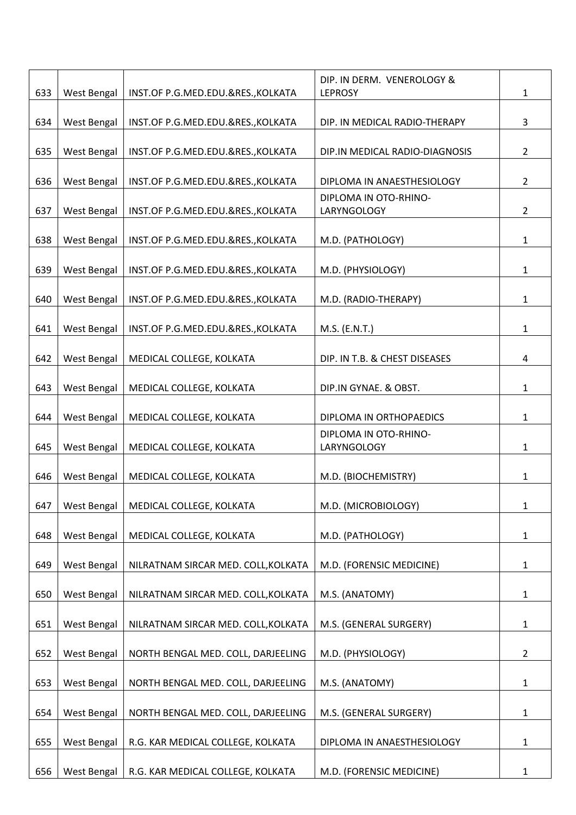|     |                    |                                     | DIP. IN DERM. VENEROLOGY &           |                |
|-----|--------------------|-------------------------------------|--------------------------------------|----------------|
| 633 | West Bengal        | INST.OF P.G.MED.EDU.&RES., KOLKATA  | <b>LEPROSY</b>                       | $\mathbf{1}$   |
| 634 | West Bengal        | INST.OF P.G.MED.EDU.&RES., KOLKATA  | DIP. IN MEDICAL RADIO-THERAPY        | $\overline{3}$ |
| 635 | West Bengal        | INST.OF P.G.MED.EDU.&RES., KOLKATA  | DIP.IN MEDICAL RADIO-DIAGNOSIS       | $\overline{2}$ |
| 636 | West Bengal        | INST.OF P.G.MED.EDU.&RES., KOLKATA  | DIPLOMA IN ANAESTHESIOLOGY           | $\overline{2}$ |
| 637 | West Bengal        | INST.OF P.G.MED.EDU.&RES., KOLKATA  | DIPLOMA IN OTO-RHINO-<br>LARYNGOLOGY | $\overline{2}$ |
| 638 | West Bengal        | INST.OF P.G.MED.EDU.&RES., KOLKATA  | M.D. (PATHOLOGY)                     | $\mathbf{1}$   |
| 639 | West Bengal        | INST.OF P.G.MED.EDU.&RES., KOLKATA  | M.D. (PHYSIOLOGY)                    | 1              |
| 640 | West Bengal        | INST.OF P.G.MED.EDU.&RES., KOLKATA  | M.D. (RADIO-THERAPY)                 | $\mathbf{1}$   |
| 641 | West Bengal        | INST.OF P.G.MED.EDU.&RES., KOLKATA  | M.S. (E.N.T.)                        | $\mathbf{1}$   |
| 642 | West Bengal        | MEDICAL COLLEGE, KOLKATA            | DIP. IN T.B. & CHEST DISEASES        | 4              |
| 643 | West Bengal        | MEDICAL COLLEGE, KOLKATA            | DIP.IN GYNAE. & OBST.                | $\mathbf{1}$   |
| 644 | West Bengal        | MEDICAL COLLEGE, KOLKATA            | DIPLOMA IN ORTHOPAEDICS              | 1              |
| 645 | West Bengal        | MEDICAL COLLEGE, KOLKATA            | DIPLOMA IN OTO-RHINO-<br>LARYNGOLOGY | 1              |
| 646 | West Bengal        | MEDICAL COLLEGE, KOLKATA            | M.D. (BIOCHEMISTRY)                  | 1              |
| 647 | West Bengal        | MEDICAL COLLEGE, KOLKATA            | M.D. (MICROBIOLOGY)                  | 1              |
| 648 | West Bengal        | MEDICAL COLLEGE, KOLKATA            | M.D. (PATHOLOGY)                     | $\mathbf{1}$   |
| 649 | West Bengal        | NILRATNAM SIRCAR MED. COLL, KOLKATA | M.D. (FORENSIC MEDICINE)             | $\mathbf{1}$   |
| 650 | West Bengal        | NILRATNAM SIRCAR MED. COLL, KOLKATA | M.S. (ANATOMY)                       | 1              |
| 651 | West Bengal        | NILRATNAM SIRCAR MED. COLL, KOLKATA | M.S. (GENERAL SURGERY)               | $\mathbf{1}$   |
| 652 | West Bengal        | NORTH BENGAL MED. COLL, DARJEELING  | M.D. (PHYSIOLOGY)                    | $\overline{2}$ |
| 653 | West Bengal        | NORTH BENGAL MED. COLL, DARJEELING  | M.S. (ANATOMY)                       | $\mathbf{1}$   |
| 654 | <b>West Bengal</b> | NORTH BENGAL MED. COLL, DARJEELING  | M.S. (GENERAL SURGERY)               | $\mathbf{1}$   |
| 655 | West Bengal        | R.G. KAR MEDICAL COLLEGE, KOLKATA   | DIPLOMA IN ANAESTHESIOLOGY           | $\mathbf{1}$   |
| 656 | West Bengal        | R.G. KAR MEDICAL COLLEGE, KOLKATA   | M.D. (FORENSIC MEDICINE)             | 1              |